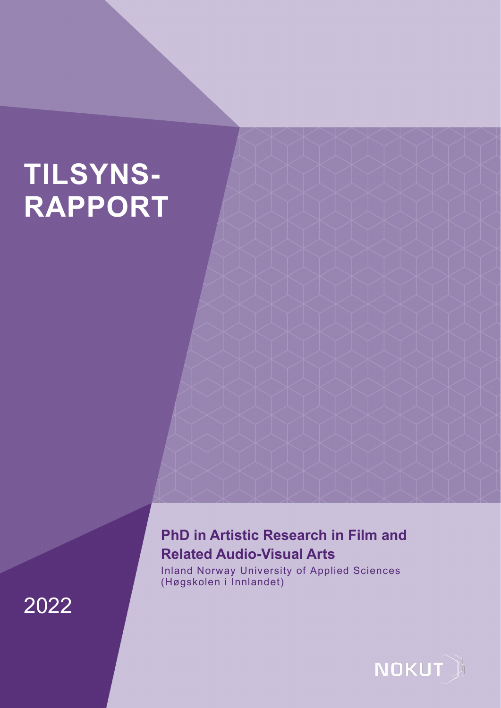# **TILSYNS-RAPPORT**

# **PhD in Artistic Research in Film and Related Audio-Visual Arts**

Inland Norway University of Applied Sciences (Høgskolen i Innlandet)



2022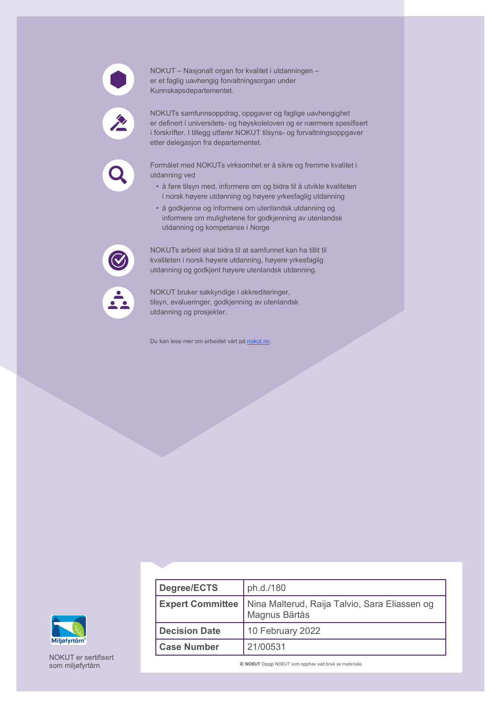

NOKUT – Nasjonalt organ for kvalitet i utdanningen – er et faglig uavhengig forvaltningsorgan under Kunnskapsdepartementet.

NOKUTs samfunnsoppdrag, oppgaver og faglige uavhengighet er definert i universitets- og høyskoleloven og er nærmere spesifisert i forskrifter. I tillegg utfører NOKUT tilsyns- og forvaltningsoppgaver etter delegasjon fra departementet.

Formålet med NOKUTs virksomhet er å sikre og fremme kvalitet i utdanning ved

- å føre tilsyn med, informere om og bidra til å utvikle kvaliteten i norsk høyere utdanning og høyere yrkesfaglig utdanning
- å godkjenne og informere om utenlandsk utdanning og informere om mulighetene for godkjenning av utenlandsk utdanning og kompetanse i Norge

NOKUTs arbeid skal bidra til at samfunnet kan ha tillit til kvaliteten i norsk høyere utdanning, høyere yrkesfaglig utdanning og godkjent høyere utenlandsk utdanning.



NOKUT bruker sakkyndige i akkrediteringer, tilsyn, evalueringer, godkjenning av utenlandsk utdanning og prosjekter.

Du kan lese mer om arbeidet vårt på [nokut.no.](https://www.nokut.no/)



NOKUT er sertifisert som miljøfyrtårn

| Degree/ECTS             | ph.d./180                                                      |
|-------------------------|----------------------------------------------------------------|
| <b>Expert Committee</b> | Nina Malterud, Raija Talvio, Sara Eliassen og<br>Magnus Bärtås |
| <b>Decision Date</b>    | 10 February 2022                                               |
| <b>Case Number</b>      | 21/00531                                                       |

**© NOKUT** Oppgi NOKUT som opphav ved bruk av materiale.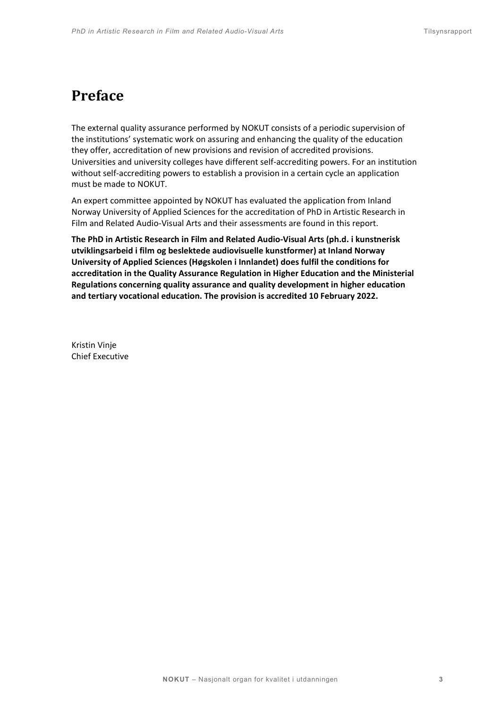# **Preface**

The external quality assurance performed by NOKUT consists of a periodic supervision of the institutions' systematic work on assuring and enhancing the quality of the education they offer, accreditation of new provisions and revision of accredited provisions. Universities and university colleges have different self-accrediting powers. For an institution without self-accrediting powers to establish a provision in a certain cycle an application must be made to NOKUT.

An expert committee appointed by NOKUT has evaluated the application from Inland Norway University of Applied Sciences for the accreditation of PhD in Artistic Research in Film and Related Audio-Visual Arts and their assessments are found in this report.

**The PhD in Artistic Research in Film and Related Audio-Visual Arts (ph.d. i kunstnerisk utviklingsarbeid i film og beslektede audiovisuelle kunstformer) at Inland Norway University of Applied Sciences (Høgskolen i Innlandet) does fulfil the conditions for accreditation in the Quality Assurance Regulation in Higher Education and the Ministerial Regulations concerning quality assurance and quality development in higher education and tertiary vocational education. The provision is accredited 10 February 2022.**

Kristin Vinje Chief Executive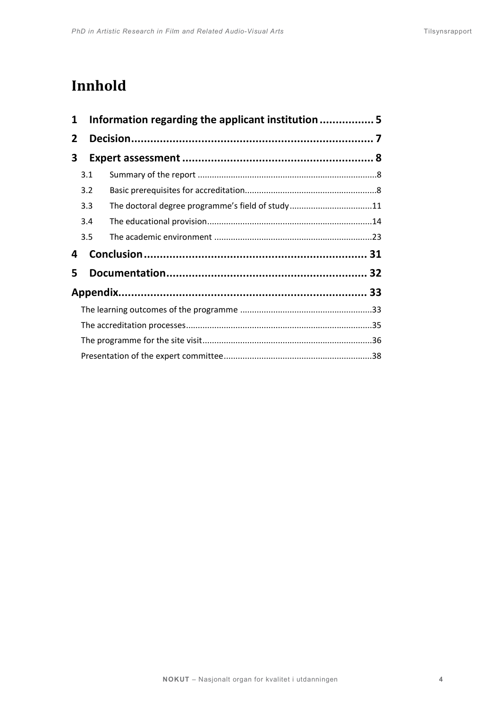# **Innhold**

| 1            | Information regarding the applicant institution 5 |                                                  |  |  |
|--------------|---------------------------------------------------|--------------------------------------------------|--|--|
| $\mathbf{2}$ |                                                   |                                                  |  |  |
|              | 3                                                 |                                                  |  |  |
|              | 3.1                                               |                                                  |  |  |
|              | 3.2                                               |                                                  |  |  |
|              | 3.3                                               | The doctoral degree programme's field of study11 |  |  |
|              | 3.4                                               |                                                  |  |  |
|              | 3.5                                               |                                                  |  |  |
| 4            |                                                   |                                                  |  |  |
| 5            |                                                   |                                                  |  |  |
|              |                                                   |                                                  |  |  |
|              |                                                   |                                                  |  |  |
|              |                                                   |                                                  |  |  |
|              |                                                   |                                                  |  |  |
|              |                                                   |                                                  |  |  |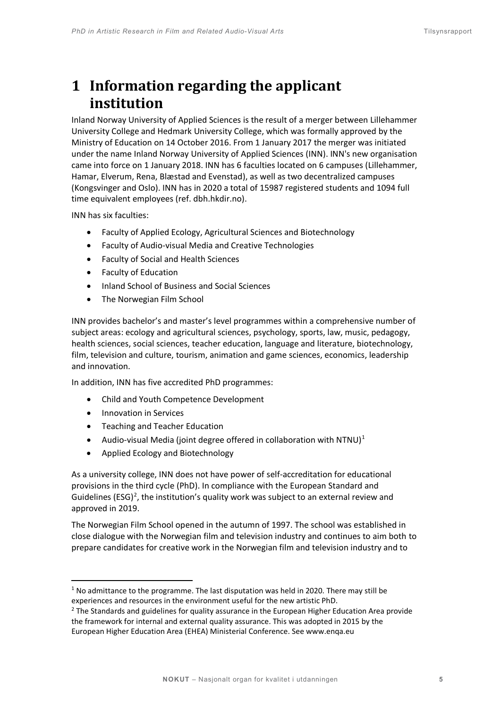# <span id="page-4-0"></span>**1 Information regarding the applicant institution**

Inland Norway University of Applied Sciences is the result of a merger between Lillehammer University College and Hedmark University College, which was formally approved by the Ministry of Education on 14 October 2016. From 1 January 2017 the merger was initiated under the name Inland Norway University of Applied Sciences (INN). INN's new organisation came into force on 1 January 2018. INN has 6 faculties located on 6 campuses (Lillehammer, Hamar, Elverum, Rena, Blæstad and Evenstad), as well as two decentralized campuses (Kongsvinger and Oslo). INN has in 2020 a total of 15987 registered students and 1094 full time equivalent employees (ref. dbh.hkdir.no).

INN has six faculties:

- Faculty of Applied Ecology, Agricultural Sciences and Biotechnology
- Faculty of Audio-visual Media and Creative Technologies
- Faculty of Social and Health Sciences
- Faculty of Education
- Inland School of Business and Social Sciences
- The Norwegian Film School

INN provides bachelor's and master's level programmes within a comprehensive number of subject areas: ecology and agricultural sciences, psychology, sports, law, music, pedagogy, health sciences, social sciences, teacher education, language and literature, biotechnology, film, television and culture, tourism, animation and game sciences, economics, leadership and innovation.

In addition, INN has five accredited PhD programmes:

- Child and Youth Competence Development
- Innovation in Services
- Teaching and Teacher Education
- Audio-visual Media (joint degree offered in collaboration with NTNU)<sup>[1](#page-4-1)</sup>
- Applied Ecology and Biotechnology

As a university college, INN does not have power of self-accreditation for educational provisions in the third cycle (PhD). In compliance with the European Standard and Guidelines (ESG)<sup>[2](#page-4-2)</sup>, the institution's quality work was subject to an external review and approved in 2019.

The Norwegian Film School opened in the autumn of 1997. The school was established in close dialogue with the Norwegian film and television industry and continues to aim both to prepare candidates for creative work in the Norwegian film and television industry and to

<span id="page-4-1"></span> $1$  No admittance to the programme. The last disputation was held in 2020. There may still be experiences and resources in the environment useful for the new artistic PhD.

<span id="page-4-2"></span><sup>&</sup>lt;sup>2</sup> The Standards and guidelines for quality assurance in the European Higher Education Area provide the framework for internal and external quality assurance. This was adopted in 2015 by the European Higher Education Area (EHEA) Ministerial Conference. See www.enqa.eu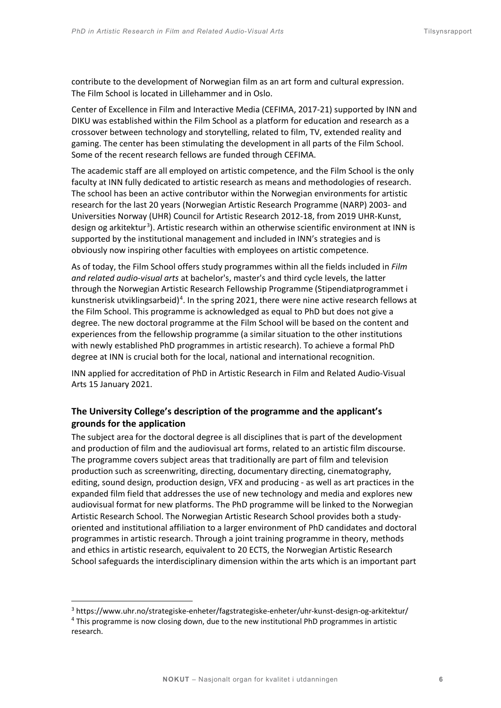contribute to the development of Norwegian film as an art form and cultural expression. The Film School is located in Lillehammer and in Oslo.

Center of Excellence in Film and Interactive Media (CEFIMA, 2017-21) supported by INN and DIKU was established within the Film School as a platform for education and research as a crossover between technology and storytelling, related to film, TV, extended reality and gaming. The center has been stimulating the development in all parts of the Film School. Some of the recent research fellows are funded through CEFIMA.

The academic staff are all employed on artistic competence, and the Film School is the only faculty at INN fully dedicated to artistic research as means and methodologies of research. The school has been an active contributor within the Norwegian environments for artistic research for the last 20 years (Norwegian Artistic Research Programme (NARP) 2003- and Universities Norway (UHR) Council for Artistic Research 2012-18, from 2019 UHR-Kunst, design og arkitektur<sup>[3](#page-5-0)</sup>). Artistic research within an otherwise scientific environment at INN is supported by the institutional management and included in INN's strategies and is obviously now inspiring other faculties with employees on artistic competence.

As of today, the Film School offers study programmes within all the fields included in *Film and related audio-visual arts* at bachelor's, master's and third cycle levels, the latter through the Norwegian Artistic Research Fellowship Programme (Stipendiatprogrammet i kunstnerisk utviklingsarbeid)<sup>[4](#page-5-1)</sup>. In the spring 2021, there were nine active research fellows at the Film School. This programme is acknowledged as equal to PhD but does not give a degree. The new doctoral programme at the Film School will be based on the content and experiences from the fellowship programme (a similar situation to the other institutions with newly established PhD programmes in artistic research). To achieve a formal PhD degree at INN is crucial both for the local, national and international recognition.

INN applied for accreditation of PhD in Artistic Research in Film and Related Audio-Visual Arts 15 January 2021.

# **The University College's description of the programme and the applicant's grounds for the application**

The subject area for the doctoral degree is all disciplines that is part of the development and production of film and the audiovisual art forms, related to an artistic film discourse. The programme covers subject areas that traditionally are part of film and television production such as screenwriting, directing, documentary directing, cinematography, editing, sound design, production design, VFX and producing - as well as art practices in the expanded film field that addresses the use of new technology and media and explores new audiovisual format for new platforms. The PhD programme will be linked to the Norwegian Artistic Research School. The Norwegian Artistic Research School provides both a studyoriented and institutional affiliation to a larger environment of PhD candidates and doctoral programmes in artistic research. Through a joint training programme in theory, methods and ethics in artistic research, equivalent to 20 ECTS, the Norwegian Artistic Research School safeguards the interdisciplinary dimension within the arts which is an important part

<span id="page-5-0"></span><sup>3</sup> https://www.uhr.no/strategiske-enheter/fagstrategiske-enheter/uhr-kunst-design-og-arkitektur/

<span id="page-5-1"></span><sup>&</sup>lt;sup>4</sup> This programme is now closing down, due to the new institutional PhD programmes in artistic research.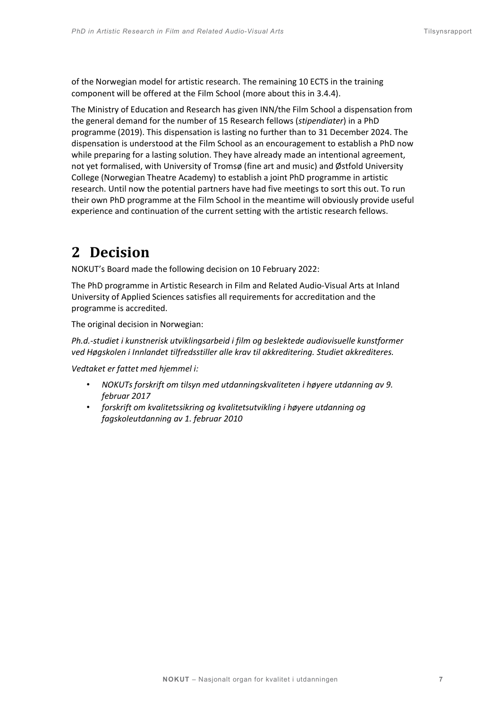of the Norwegian model for artistic research. The remaining 10 ECTS in the training component will be offered at the Film School (more about this in 3.4.4).

The Ministry of Education and Research has given INN/the Film School a dispensation from the general demand for the number of 15 Research fellows (*stipendiater*) in a PhD programme (2019). This dispensation is lasting no further than to 31 December 2024. The dispensation is understood at the Film School as an encouragement to establish a PhD now while preparing for a lasting solution. They have already made an intentional agreement, not yet formalised, with University of Tromsø (fine art and music) and Østfold University College (Norwegian Theatre Academy) to establish a joint PhD programme in artistic research. Until now the potential partners have had five meetings to sort this out. To run their own PhD programme at the Film School in the meantime will obviously provide useful experience and continuation of the current setting with the artistic research fellows.

# <span id="page-6-0"></span>**2 Decision**

NOKUT's Board made the following decision on 10 February 2022:

The PhD programme in Artistic Research in Film and Related Audio-Visual Arts at Inland University of Applied Sciences satisfies all requirements for accreditation and the programme is accredited.

The original decision in Norwegian:

*Ph.d.-studiet i kunstnerisk utviklingsarbeid i film og beslektede audiovisuelle kunstformer ved Høgskolen i Innlandet tilfredsstiller alle krav til akkreditering. Studiet akkrediteres.* 

*Vedtaket er fattet med hjemmel i:* 

- *NOKUTs forskrift om tilsyn med utdanningskvaliteten i høyere utdanning av 9. februar 2017*
- *forskrift om kvalitetssikring og kvalitetsutvikling i høyere utdanning og fagskoleutdanning av 1. februar 2010*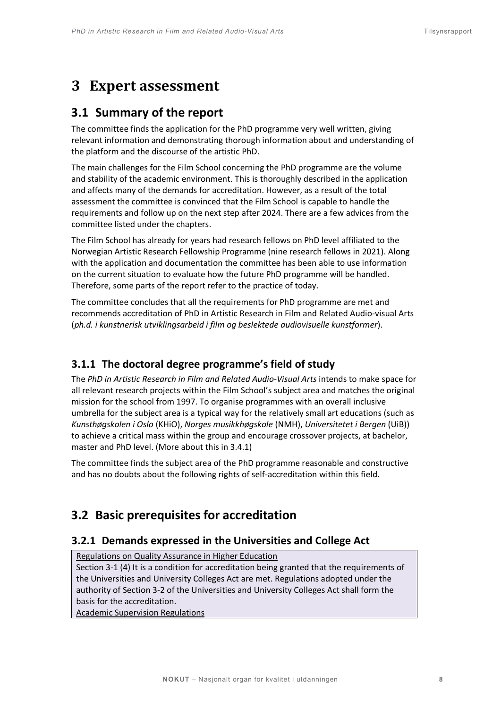# <span id="page-7-0"></span>**3 Expert assessment**

# <span id="page-7-1"></span>**3.1 Summary of the report**

The committee finds the application for the PhD programme very well written, giving relevant information and demonstrating thorough information about and understanding of the platform and the discourse of the artistic PhD.

The main challenges for the Film School concerning the PhD programme are the volume and stability of the academic environment. This is thoroughly described in the application and affects many of the demands for accreditation. However, as a result of the total assessment the committee is convinced that the Film School is capable to handle the requirements and follow up on the next step after 2024. There are a few advices from the committee listed under the chapters.

The Film School has already for years had research fellows on PhD level affiliated to the Norwegian Artistic Research Fellowship Programme (nine research fellows in 2021). Along with the application and documentation the committee has been able to use information on the current situation to evaluate how the future PhD programme will be handled. Therefore, some parts of the report refer to the practice of today.

The committee concludes that all the requirements for PhD programme are met and recommends accreditation of PhD in Artistic Research in Film and Related Audio-visual Arts (*ph.d. i kunstnerisk utviklingsarbeid i film og beslektede audiovisuelle kunstformer*).

# **3.1.1 The doctoral degree programme's field of study**

The *PhD in Artistic Research in Film and Related Audio-Visual Arts* intends to make space for all relevant research projects within the Film School's subject area and matches the original mission for the school from 1997. To organise programmes with an overall inclusive umbrella for the subject area is a typical way for the relatively small art educations (such as *Kunsthøgskolen i Oslo* (KHiO), *Norges musikkhøgskole* (NMH), *Universitetet i Bergen* (UiB)) to achieve a critical mass within the group and encourage crossover projects, at bachelor, master and PhD level. (More about this in 3.4.1)

The committee finds the subject area of the PhD programme reasonable and constructive and has no doubts about the following rights of self-accreditation within this field.

# <span id="page-7-2"></span>**3.2 Basic prerequisites for accreditation**

# **3.2.1 Demands expressed in the Universities and College Act**

# Regulations on Quality Assurance in Higher Education

Section 3-1 (4) It is a condition for accreditation being granted that the requirements of the Universities and University Colleges Act are met. Regulations adopted under the authority of Section 3-2 of th[e Universities and University Colleges Act](http://www.lovdata.no/pro#reference/lov/2005-04-01-15/%C2%A73-2) shall form the basis for the accreditation.

Academic Supervision Regulations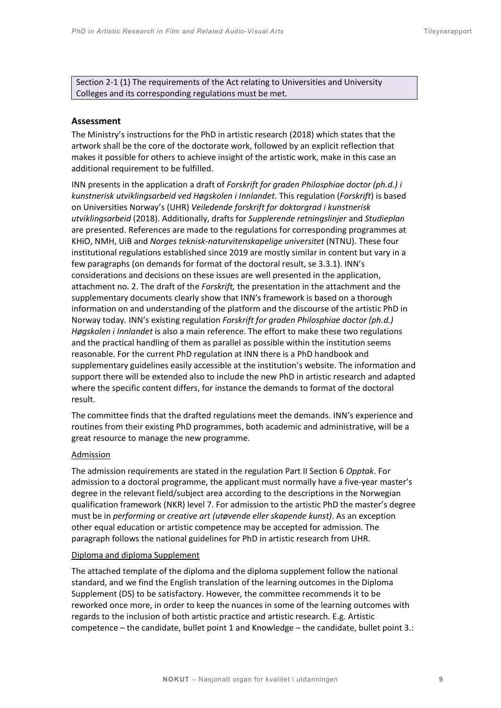Section 2-1 (1) The requirements of the Act relating to Universities and University Colleges and its corresponding regulations must be met.

#### **Assessment**

The Ministry's instructions for the PhD in artistic research (2018) which states that the artwork shall be the core of the doctorate work, followed by an explicit reflection that makes it possible for others to achieve insight of the artistic work, make in this case an additional requirement to be fulfilled.

INN presents in the application a draft of *Forskrift for graden Philosphiae doctor (ph.d.) i kunstnerisk utviklingsarbeid ved Høgskolen i Innlandet*. This regulation (*Forskrift*) is based on Universities Norway's (UHR) *Veiledende forskrift for doktorgrad i kunstnerisk utviklingsarbeid* (2018). Additionally, drafts for *Supplerende retningslinjer* and *Studieplan* are presented. References are made to the regulations for corresponding programmes at KHiO, NMH, UiB and *Norges teknisk-naturvitenskapelige universitet* (NTNU). These four institutional regulations established since 2019 are mostly similar in content but vary in a few paragraphs (on demands for format of the doctoral result, se 3.3.1). INN's considerations and decisions on these issues are well presented in the application, attachment no. 2. The draft of the *Forskrift,* the presentation in the attachment and the supplementary documents clearly show that INN's framework is based on a thorough information on and understanding of the platform and the discourse of the artistic PhD in Norway today. INN's existing regulation *Forskrift for graden Philosphiae doctor (ph.d.) Høgskolen i Innlandet* is also a main reference. The effort to make these two regulations and the practical handling of them as parallel as possible within the institution seems reasonable. For the current PhD regulation at INN there is a PhD handbook and supplementary guidelines easily accessible at the institution's website. The information and support there will be extended also to include the new PhD in artistic research and adapted where the specific content differs, for instance the demands to format of the doctoral result.

The committee finds that the drafted regulations meet the demands. INN's experience and routines from their existing PhD programmes, both academic and administrative, will be a great resource to manage the new programme.

#### **Admission**

The admission requirements are stated in the regulation Part II Section 6 *Opptak*. For admission to a doctoral programme, the applicant must normally have a five-year master's degree in the relevant field/subject area according to the descriptions in the Norwegian qualification framework (NKR) level 7. For admission to the artistic PhD the master's degree must be in *performing o*r *creative art (utøvende eller skapende kunst)*. As an exception other equal education or artistic competence may be accepted for admission. The paragraph follows the national guidelines for PhD in artistic research from UHR.

#### Diploma and diploma Supplement

The attached template of the diploma and the diploma supplement follow the national standard, and we find the English translation of the learning outcomes in the Diploma Supplement (DS) to be satisfactory. However, the committee recommends it to be reworked once more, in order to keep the nuances in some of the learning outcomes with regards to the inclusion of both artistic practice and artistic research. E.g. Artistic competence – the candidate, bullet point 1 and Knowledge – the candidate, bullet point 3.: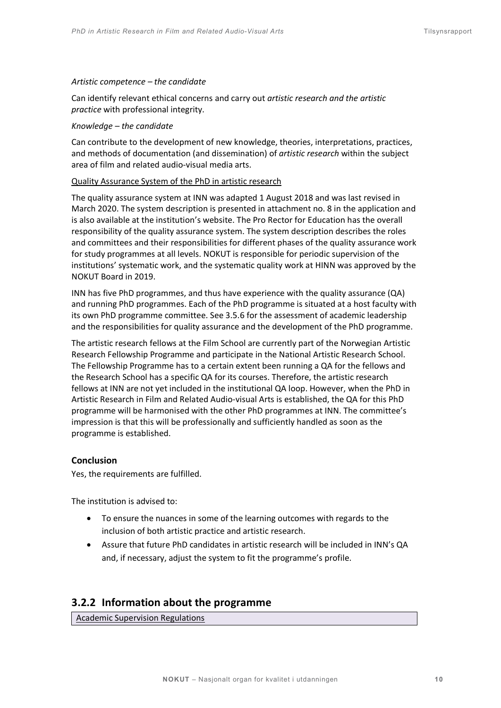#### *Artistic competence – the candidate*

Can identify relevant ethical concerns and carry out *artistic research and the artistic practice* with professional integrity.

#### *Knowledge – the candidate*

Can contribute to the development of new knowledge, theories, interpretations, practices, and methods of documentation (and dissemination) of *artistic research* within the subject area of film and related audio-visual media arts.

#### Quality Assurance System of the PhD in artistic research

The quality assurance system at INN was adapted 1 August 2018 and was last revised in March 2020. The system description is presented in attachment no. 8 in the application and is also available at the institution's website. The Pro Rector for Education has the overall responsibility of the quality assurance system. The system description describes the roles and committees and their responsibilities for different phases of the quality assurance work for study programmes at all levels. NOKUT is responsible for periodic supervision of the institutions' systematic work, and the systematic quality work at HINN was approved by the NOKUT Board in 2019.

INN has five PhD programmes, and thus have experience with the quality assurance (QA) and running PhD programmes. Each of the PhD programme is situated at a host faculty with its own PhD programme committee. See 3.5.6 for the assessment of academic leadership and the responsibilities for quality assurance and the development of the PhD programme.

The artistic research fellows at the Film School are currently part of the Norwegian Artistic Research Fellowship Programme and participate in the National Artistic Research School. The Fellowship Programme has to a certain extent been running a QA for the fellows and the Research School has a specific QA for its courses. Therefore, the artistic research fellows at INN are not yet included in the institutional QA loop. However, when the PhD in Artistic Research in Film and Related Audio-visual Arts is established, the QA for this PhD programme will be harmonised with the other PhD programmes at INN. The committee's impression is that this will be professionally and sufficiently handled as soon as the programme is established.

#### **Conclusion**

Yes, the requirements are fulfilled.

The institution is advised to:

- To ensure the nuances in some of the learning outcomes with regards to the inclusion of both artistic practice and artistic research.
- Assure that future PhD candidates in artistic research will be included in INN's QA and, if necessary, adjust the system to fit the programme's profile.

# **3.2.2 Information about the programme**

Academic Supervision Regulations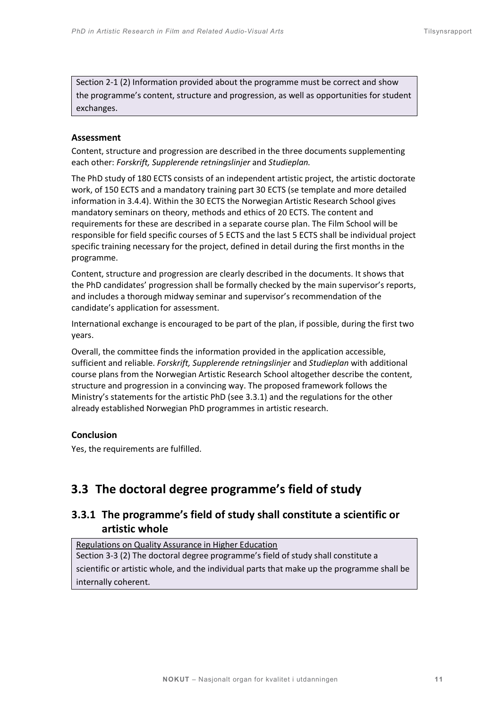Section 2-1 (2) Information provided about the programme must be correct and show the programme's content, structure and progression, as well as opportunities for student exchanges.

# **Assessment**

Content, structure and progression are described in the three documents supplementing each other: *Forskrift, Supplerende retningslinjer* and *Studieplan.*

The PhD study of 180 ECTS consists of an independent artistic project, the artistic doctorate work, of 150 ECTS and a mandatory training part 30 ECTS (se template and more detailed information in 3.4.4). Within the 30 ECTS the Norwegian Artistic Research School gives mandatory seminars on theory, methods and ethics of 20 ECTS. The content and requirements for these are described in a separate course plan. The Film School will be responsible for field specific courses of 5 ECTS and the last 5 ECTS shall be individual project specific training necessary for the project, defined in detail during the first months in the programme.

Content, structure and progression are clearly described in the documents. It shows that the PhD candidates' progression shall be formally checked by the main supervisor's reports, and includes a thorough midway seminar and supervisor's recommendation of the candidate's application for assessment.

International exchange is encouraged to be part of the plan, if possible, during the first two years.

Overall, the committee finds the information provided in the application accessible, sufficient and reliable. *Forskrift, Supplerende retningslinjer* and *Studieplan* with additional course plans from the Norwegian Artistic Research School altogether describe the content, structure and progression in a convincing way. The proposed framework follows the Ministry's statements for the artistic PhD (see 3.3.1) and the regulations for the other already established Norwegian PhD programmes in artistic research.

# **Conclusion**

Yes, the requirements are fulfilled.

# <span id="page-10-0"></span>**3.3 The doctoral degree programme's field of study**

# **3.3.1 The programme's field of study shall constitute a scientific or artistic whole**

# Regulations on Quality Assurance in Higher Education

Section 3-3 (2) The doctoral degree programme's field of study shall constitute a scientific or artistic whole, and the individual parts that make up the programme shall be internally coherent.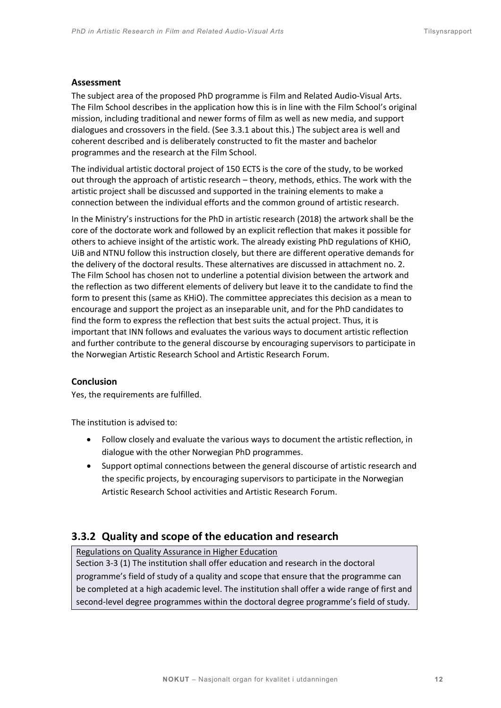#### **Assessment**

The subject area of the proposed PhD programme is Film and Related Audio-Visual Arts. The Film School describes in the application how this is in line with the Film School's original mission, including traditional and newer forms of film as well as new media, and support dialogues and crossovers in the field. (See 3.3.1 about this.) The subject area is well and coherent described and is deliberately constructed to fit the master and bachelor programmes and the research at the Film School.

The individual artistic doctoral project of 150 ECTS is the core of the study, to be worked out through the approach of artistic research – theory, methods, ethics. The work with the artistic project shall be discussed and supported in the training elements to make a connection between the individual efforts and the common ground of artistic research.

In the Ministry's instructions for the PhD in artistic research (2018) the artwork shall be the core of the doctorate work and followed by an explicit reflection that makes it possible for others to achieve insight of the artistic work. The already existing PhD regulations of KHiO, UiB and NTNU follow this instruction closely, but there are different operative demands for the delivery of the doctoral results. These alternatives are discussed in attachment no. 2. The Film School has chosen not to underline a potential division between the artwork and the reflection as two different elements of delivery but leave it to the candidate to find the form to present this (same as KHiO). The committee appreciates this decision as a mean to encourage and support the project as an inseparable unit, and for the PhD candidates to find the form to express the reflection that best suits the actual project. Thus, it is important that INN follows and evaluates the various ways to document artistic reflection and further contribute to the general discourse by encouraging supervisors to participate in the Norwegian Artistic Research School and Artistic Research Forum.

# **Conclusion**

Yes, the requirements are fulfilled.

The institution is advised to:

- Follow closely and evaluate the various ways to document the artistic reflection, in dialogue with the other Norwegian PhD programmes.
- Support optimal connections between the general discourse of artistic research and the specific projects, by encouraging supervisors to participate in the Norwegian Artistic Research School activities and Artistic Research Forum.

# **3.3.2 Quality and scope of the education and research**

#### Regulations on Quality Assurance in Higher Education

Section 3-3 (1) The institution shall offer education and research in the doctoral programme's field of study of a quality and scope that ensure that the programme can be completed at a high academic level. The institution shall offer a wide range of first and second-level degree programmes within the doctoral degree programme's field of study.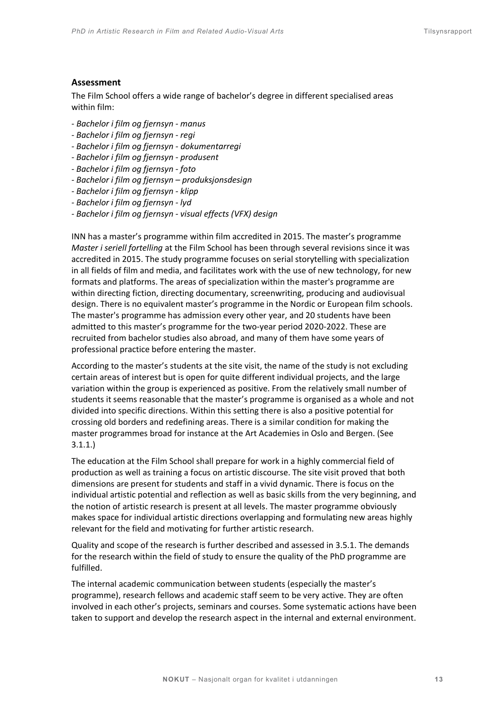#### **Assessment**

The Film School offers a wide range of bachelor's degree in different specialised areas within film:

- *Bachelor i film og fjernsyn - manus*
- *- Bachelor i film og fjernsyn - regi*
- *- Bachelor i film og fjernsyn - dokumentarregi*
- *- Bachelor i film og fjernsyn - produsent*
- *- Bachelor i film og fjernsyn - foto*
- *- Bachelor i film og fjernsyn – produksjonsdesign*
- *- Bachelor i film og fjernsyn - klipp*
- *- Bachelor i film og fjernsyn - lyd*
- *- Bachelor i film og fjernsyn - visual effects (VFX) design*

INN has a master's programme within film accredited in 2015. The master's programme *Master i seriell fortelling* at the Film School has been through several revisions since it was accredited in 2015. The study programme focuses on serial storytelling with specialization in all fields of film and media, and facilitates work with the use of new technology, for new formats and platforms. The areas of specialization within the master's programme are within directing fiction, directing documentary, screenwriting, producing and audiovisual design. There is no equivalent master's programme in the Nordic or European film schools. The master's programme has admission every other year, and 20 students have been admitted to this master's programme for the two-year period 2020-2022. These are recruited from bachelor studies also abroad, and many of them have some years of professional practice before entering the master.

According to the master's students at the site visit, the name of the study is not excluding certain areas of interest but is open for quite different individual projects, and the large variation within the group is experienced as positive. From the relatively small number of students it seems reasonable that the master's programme is organised as a whole and not divided into specific directions. Within this setting there is also a positive potential for crossing old borders and redefining areas. There is a similar condition for making the master programmes broad for instance at the Art Academies in Oslo and Bergen. (See 3.1.1.)

The education at the Film School shall prepare for work in a highly commercial field of production as well as training a focus on artistic discourse. The site visit proved that both dimensions are present for students and staff in a vivid dynamic. There is focus on the individual artistic potential and reflection as well as basic skills from the very beginning, and the notion of artistic research is present at all levels. The master programme obviously makes space for individual artistic directions overlapping and formulating new areas highly relevant for the field and motivating for further artistic research.

Quality and scope of the research is further described and assessed in 3.5.1. The demands for the research within the field of study to ensure the quality of the PhD programme are fulfilled.

The internal academic communication between students (especially the master's programme), research fellows and academic staff seem to be very active. They are often involved in each other's projects, seminars and courses. Some systematic actions have been taken to support and develop the research aspect in the internal and external environment.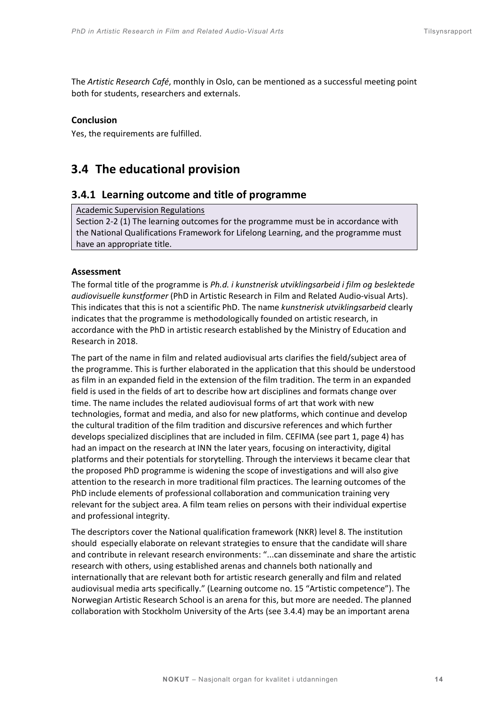The *Artistic Research Café*, monthly in Oslo, can be mentioned as a successful meeting point both for students, researchers and externals.

# **Conclusion**

Yes, the requirements are fulfilled.

# <span id="page-13-0"></span>**3.4 The educational provision**

# **3.4.1 Learning outcome and title of programme**

Academic Supervision Regulations

Section 2-2 (1) The learning outcomes for the programme must be in accordance with the National Qualifications Framework for Lifelong Learning, and the programme must have an appropriate title.

# **Assessment**

The formal title of the programme is *Ph.d. i kunstnerisk utviklingsarbeid i film og beslektede audiovisuelle kunstformer* (PhD in Artistic Research in Film and Related Audio-visual Arts). This indicates that this is not a scientific PhD. The name *kunstnerisk utviklingsarbeid* clearly indicates that the programme is methodologically founded on artistic research, in accordance with the PhD in artistic research established by the Ministry of Education and Research in 2018.

The part of the name in film and related audiovisual arts clarifies the field/subject area of the programme. This is further elaborated in the application that this should be understood as film in an expanded field in the extension of the film tradition. The term in an expanded field is used in the fields of art to describe how art disciplines and formats change over time. The name includes the related audiovisual forms of art that work with new technologies, format and media, and also for new platforms, which continue and develop the cultural tradition of the film tradition and discursive references and which further develops specialized disciplines that are included in film. CEFIMA (see part 1, page 4) has had an impact on the research at INN the later years, focusing on interactivity, digital platforms and their potentials for storytelling. Through the interviews it became clear that the proposed PhD programme is widening the scope of investigations and will also give attention to the research in more traditional film practices. The learning outcomes of the PhD include elements of professional collaboration and communication training very relevant for the subject area. A film team relies on persons with their individual expertise and professional integrity.

The descriptors cover the National qualification framework (NKR) level 8. The institution should especially elaborate on relevant strategies to ensure that the candidate will share and contribute in relevant research environments: "...can disseminate and share the artistic research with others, using established arenas and channels both nationally and internationally that are relevant both for artistic research generally and film and related audiovisual media arts specifically." (Learning outcome no. 15 "Artistic competence"). The Norwegian Artistic Research School is an arena for this, but more are needed. The planned collaboration with Stockholm University of the Arts (see 3.4.4) may be an important arena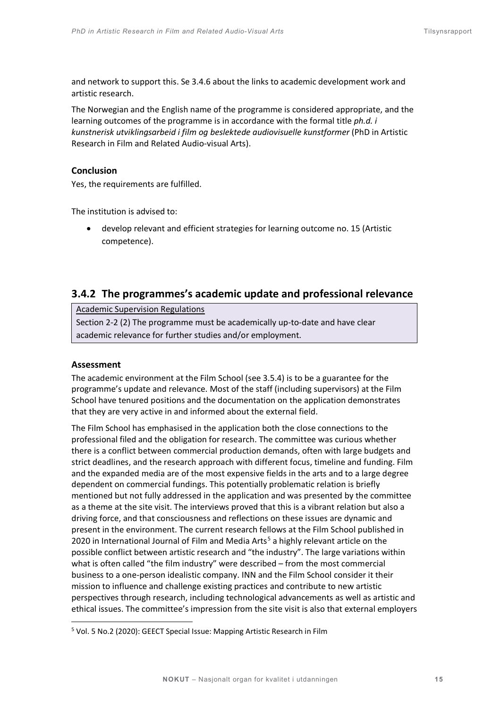and network to support this. Se 3.4.6 about the links to academic development work and artistic research.

The Norwegian and the English name of the programme is considered appropriate, and the learning outcomes of the programme is in accordance with the formal title *ph.d. i kunstnerisk utviklingsarbeid i film og beslektede audiovisuelle kunstformer* (PhD in Artistic Research in Film and Related Audio-visual Arts).

# **Conclusion**

Yes, the requirements are fulfilled.

The institution is advised to:

• develop relevant and efficient strategies for learning outcome no. 15 (Artistic competence).

# **3.4.2 The programmes's academic update and professional relevance**

Academic Supervision Regulations

Section 2-2 (2) The programme must be academically up-to-date and have clear academic relevance for further studies and/or employment.

#### **Assessment**

The academic environment at the Film School (see 3.5.4) is to be a guarantee for the programme's update and relevance. Most of the staff (including supervisors) at the Film School have tenured positions and the documentation on the application demonstrates that they are very active in and informed about the external field.

The Film School has emphasised in the application both the close connections to the professional filed and the obligation for research. The committee was curious whether there is a conflict between commercial production demands, often with large budgets and strict deadlines, and the research approach with different focus, timeline and funding. Film and the expanded media are of the most expensive fields in the arts and to a large degree dependent on commercial fundings. This potentially problematic relation is briefly mentioned but not fully addressed in the application and was presented by the committee as a theme at the site visit. The interviews proved that this is a vibrant relation but also a driving force, and that consciousness and reflections on these issues are dynamic and present in the environment. The current research fellows at the Film School published in 2020 in International Journal of Film and Media Arts<sup>[5](#page-14-0)</sup> a highly relevant article on the possible conflict between artistic research and "the industry". The large variations within what is often called "the film industry" were described – from the most commercial business to a one-person idealistic company. INN and the Film School consider it their mission to influence and challenge existing practices and contribute to new artistic perspectives through research, including technological advancements as well as artistic and ethical issues. The committee's impression from the site visit is also that external employers

<span id="page-14-0"></span><sup>5</sup> Vol. 5 No.2 (2020): GEECT Special Issue: Mapping Artistic Research in Film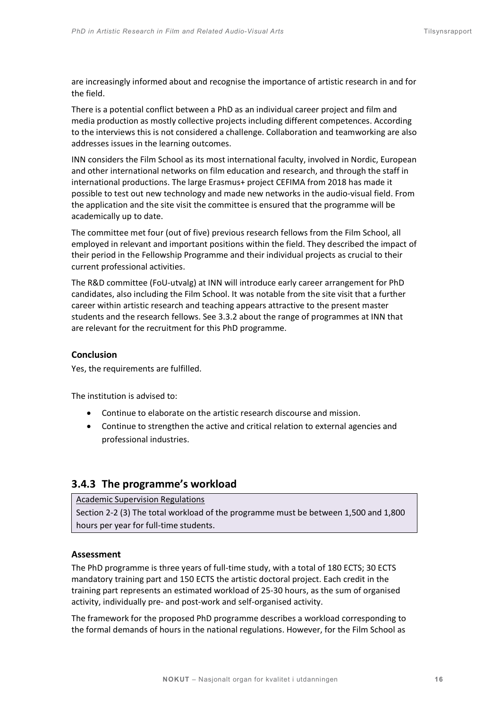are increasingly informed about and recognise the importance of artistic research in and for the field.

There is a potential conflict between a PhD as an individual career project and film and media production as mostly collective projects including different competences. According to the interviews this is not considered a challenge. Collaboration and teamworking are also addresses issues in the learning outcomes.

INN considers the Film School as its most international faculty, involved in Nordic, European and other international networks on film education and research, and through the staff in international productions. The large Erasmus+ project CEFIMA from 2018 has made it possible to test out new technology and made new networks in the audio-visual field. From the application and the site visit the committee is ensured that the programme will be academically up to date.

The committee met four (out of five) previous research fellows from the Film School, all employed in relevant and important positions within the field. They described the impact of their period in the Fellowship Programme and their individual projects as crucial to their current professional activities.

The R&D committee (FoU-utvalg) at INN will introduce early career arrangement for PhD candidates, also including the Film School. It was notable from the site visit that a further career within artistic research and teaching appears attractive to the present master students and the research fellows. See 3.3.2 about the range of programmes at INN that are relevant for the recruitment for this PhD programme.

# **Conclusion**

Yes, the requirements are fulfilled.

The institution is advised to:

- Continue to elaborate on the artistic research discourse and mission.
- Continue to strengthen the active and critical relation to external agencies and professional industries.

# **3.4.3 The programme's workload**

# Academic Supervision Regulations

Section 2-2 (3) The total workload of the programme must be between 1,500 and 1,800 hours per year for full-time students.

# **Assessment**

The PhD programme is three years of full-time study, with a total of 180 ECTS; 30 ECTS mandatory training part and 150 ECTS the artistic doctoral project. Each credit in the training part represents an estimated workload of 25-30 hours, as the sum of organised activity, individually pre- and post-work and self-organised activity.

The framework for the proposed PhD programme describes a workload corresponding to the formal demands of hours in the national regulations. However, for the Film School as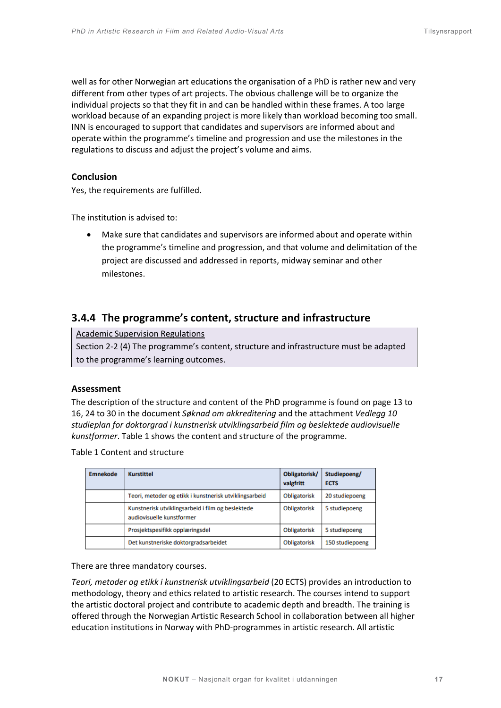well as for other Norwegian art educations the organisation of a PhD is rather new and very different from other types of art projects. The obvious challenge will be to organize the individual projects so that they fit in and can be handled within these frames. A too large workload because of an expanding project is more likely than workload becoming too small. INN is encouraged to support that candidates and supervisors are informed about and operate within the programme's timeline and progression and use the milestones in the regulations to discuss and adjust the project's volume and aims.

# **Conclusion**

Yes, the requirements are fulfilled.

The institution is advised to:

• Make sure that candidates and supervisors are informed about and operate within the programme's timeline and progression, and that volume and delimitation of the project are discussed and addressed in reports, midway seminar and other milestones.

# **3.4.4 The programme's content, structure and infrastructure**

Academic Supervision Regulations

Section 2-2 (4) The programme's content, structure and infrastructure must be adapted to the programme's learning outcomes.

# **Assessment**

The description of the structure and content of the PhD programme is found on page 13 to 16, 24 to 30 in the document *Søknad om akkreditering* and the attachment *Vedlegg 10 studieplan for doktorgrad i kunstnerisk utviklingsarbeid film og beslektede audiovisuelle kunstformer*. Table 1 shows the content and structure of the programme.

Table 1 Content and structure

| <b>Emnekode</b> | <b>Kurstittel</b>                                                              | Obligatorisk/<br>valgfritt | Studiepoeng/<br><b>ECTS</b> |
|-----------------|--------------------------------------------------------------------------------|----------------------------|-----------------------------|
|                 | Teori, metoder og etikk i kunstnerisk utviklingsarbeid                         | Obligatorisk               | 20 studiepoeng              |
|                 | Kunstnerisk utviklingsarbeid i film og beslektede<br>audiovisuelle kunstformer | Obligatorisk               | 5 studiepoeng               |
|                 | Prosjektspesifikk opplæringsdel                                                | <b>Obligatorisk</b>        | 5 studiepoeng               |
|                 | Det kunstneriske doktorgradsarbeidet                                           | Obligatorisk               | 150 studiepoeng             |

There are three mandatory courses.

*Teori, metoder og etikk i kunstnerisk utviklingsarbeid* (20 ECTS) provides an introduction to methodology, theory and ethics related to artistic research. The courses intend to support the artistic doctoral project and contribute to academic depth and breadth. The training is offered through the Norwegian Artistic Research School in collaboration between all higher education institutions in Norway with PhD-programmes in artistic research. All artistic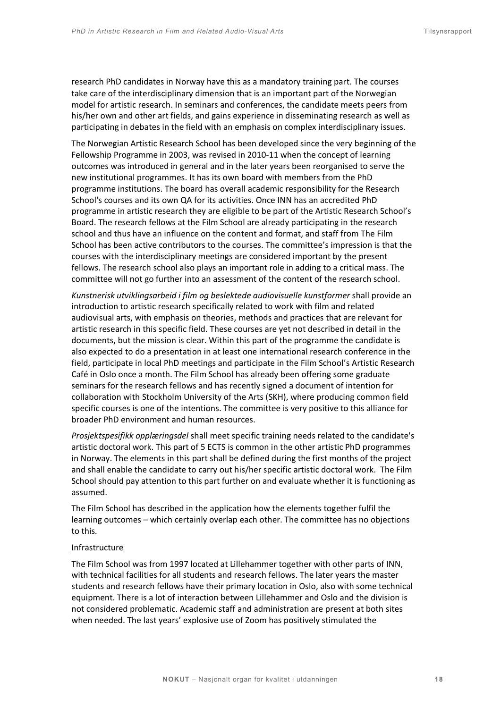research PhD candidates in Norway have this as a mandatory training part. The courses take care of the interdisciplinary dimension that is an important part of the Norwegian model for artistic research. In seminars and conferences, the candidate meets peers from his/her own and other art fields, and gains experience in disseminating research as well as participating in debates in the field with an emphasis on complex interdisciplinary issues.

The Norwegian Artistic Research School has been developed since the very beginning of the Fellowship Programme in 2003, was revised in 2010-11 when the concept of learning outcomes was introduced in general and in the later years been reorganised to serve the new institutional programmes. It has its own board with members from the PhD programme institutions. The board has overall academic responsibility for the Research School's courses and its own QA for its activities. Once INN has an accredited PhD programme in artistic research they are eligible to be part of the Artistic Research School's Board. The research fellows at the Film School are already participating in the research school and thus have an influence on the content and format, and staff from The Film School has been active contributors to the courses. The committee's impression is that the courses with the interdisciplinary meetings are considered important by the present fellows. The research school also plays an important role in adding to a critical mass. The committee will not go further into an assessment of the content of the research school.

*Kunstnerisk utviklingsarbeid i film og beslektede audiovisuelle kunstformer* shall provide an introduction to artistic research specifically related to work with film and related audiovisual arts, with emphasis on theories, methods and practices that are relevant for artistic research in this specific field. These courses are yet not described in detail in the documents, but the mission is clear. Within this part of the programme the candidate is also expected to do a presentation in at least one international research conference in the field, participate in local PhD meetings and participate in the Film School's Artistic Research Café in Oslo once a month. The Film School has already been offering some graduate seminars for the research fellows and has recently signed a document of intention for collaboration with Stockholm University of the Arts (SKH), where producing common field specific courses is one of the intentions. The committee is very positive to this alliance for broader PhD environment and human resources.

*Prosjektspesifikk opplæringsdel* shall meet specific training needs related to the candidate's artistic doctoral work. This part of 5 ECTS is common in the other artistic PhD programmes in Norway. The elements in this part shall be defined during the first months of the project and shall enable the candidate to carry out his/her specific artistic doctoral work. The Film School should pay attention to this part further on and evaluate whether it is functioning as assumed.

The Film School has described in the application how the elements together fulfil the learning outcomes – which certainly overlap each other. The committee has no objections to this*.*

#### Infrastructure

The Film School was from 1997 located at Lillehammer together with other parts of INN, with technical facilities for all students and research fellows. The later years the master students and research fellows have their primary location in Oslo, also with some technical equipment. There is a lot of interaction between Lillehammer and Oslo and the division is not considered problematic. Academic staff and administration are present at both sites when needed. The last years' explosive use of Zoom has positively stimulated the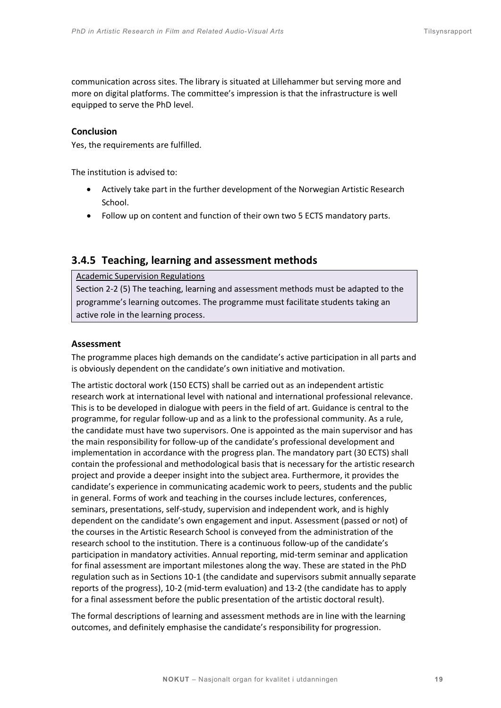communication across sites. The library is situated at Lillehammer but serving more and more on digital platforms. The committee's impression is that the infrastructure is well equipped to serve the PhD level.

# **Conclusion**

Yes, the requirements are fulfilled.

The institution is advised to:

- Actively take part in the further development of the Norwegian Artistic Research School.
- Follow up on content and function of their own two 5 ECTS mandatory parts.

# **3.4.5 Teaching, learning and assessment methods**

Academic Supervision Regulations

Section 2-2 (5) The teaching, learning and assessment methods must be adapted to the programme's learning outcomes. The programme must facilitate students taking an active role in the learning process.

# **Assessment**

The programme places high demands on the candidate's active participation in all parts and is obviously dependent on the candidate's own initiative and motivation.

The artistic doctoral work (150 ECTS) shall be carried out as an independent artistic research work at international level with national and international professional relevance. This is to be developed in dialogue with peers in the field of art. Guidance is central to the programme, for regular follow-up and as a link to the professional community. As a rule, the candidate must have two supervisors. One is appointed as the main supervisor and has the main responsibility for follow-up of the candidate's professional development and implementation in accordance with the progress plan. The mandatory part (30 ECTS) shall contain the professional and methodological basis that is necessary for the artistic research project and provide a deeper insight into the subject area. Furthermore, it provides the candidate's experience in communicating academic work to peers, students and the public in general. Forms of work and teaching in the courses include lectures, conferences, seminars, presentations, self-study, supervision and independent work, and is highly dependent on the candidate's own engagement and input. Assessment (passed or not) of the courses in the Artistic Research School is conveyed from the administration of the research school to the institution. There is a continuous follow-up of the candidate's participation in mandatory activities. Annual reporting, mid-term seminar and application for final assessment are important milestones along the way. These are stated in the PhD regulation such as in Sections 10-1 (the candidate and supervisors submit annually separate reports of the progress), 10-2 (mid-term evaluation) and 13-2 (the candidate has to apply for a final assessment before the public presentation of the artistic doctoral result).

The formal descriptions of learning and assessment methods are in line with the learning outcomes, and definitely emphasise the candidate's responsibility for progression.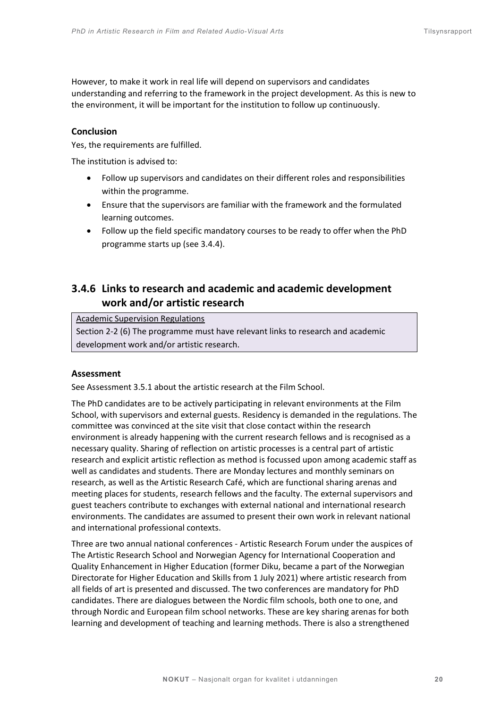However, to make it work in real life will depend on supervisors and candidates understanding and referring to the framework in the project development. As this is new to the environment, it will be important for the institution to follow up continuously.

# **Conclusion**

Yes, the requirements are fulfilled.

The institution is advised to:

- Follow up supervisors and candidates on their different roles and responsibilities within the programme.
- Ensure that the supervisors are familiar with the framework and the formulated learning outcomes.
- Follow up the field specific mandatory courses to be ready to offer when the PhD programme starts up (see 3.4.4).

# **3.4.6 Links to research and academic and academic development work and/or artistic research**

Academic Supervision Regulations

Section 2-2 (6) The programme must have relevant links to research and academic development work and/or artistic research.

# **Assessment**

See Assessment 3.5.1 about the artistic research at the Film School.

The PhD candidates are to be actively participating in relevant environments at the Film School, with supervisors and external guests. Residency is demanded in the regulations. The committee was convinced at the site visit that close contact within the research environment is already happening with the current research fellows and is recognised as a necessary quality. Sharing of reflection on artistic processes is a central part of artistic research and explicit artistic reflection as method is focussed upon among academic staff as well as candidates and students. There are Monday lectures and monthly seminars on research, as well as the Artistic Research Café, which are functional sharing arenas and meeting places for students, research fellows and the faculty. The external supervisors and guest teachers contribute to exchanges with external national and international research environments. The candidates are assumed to present their own work in relevant national and international professional contexts.

Three are two annual national conferences - Artistic Research Forum under the auspices of The Artistic Research School and Norwegian Agency for International Cooperation and Quality Enhancement in Higher Education (former Diku, became a part of the Norwegian Directorate for Higher Education and Skills from 1 July 2021) where artistic research from all fields of art is presented and discussed. The two conferences are mandatory for PhD candidates. There are dialogues between the Nordic film schools, both one to one, and through Nordic and European film school networks. These are key sharing arenas for both learning and development of teaching and learning methods. There is also a strengthened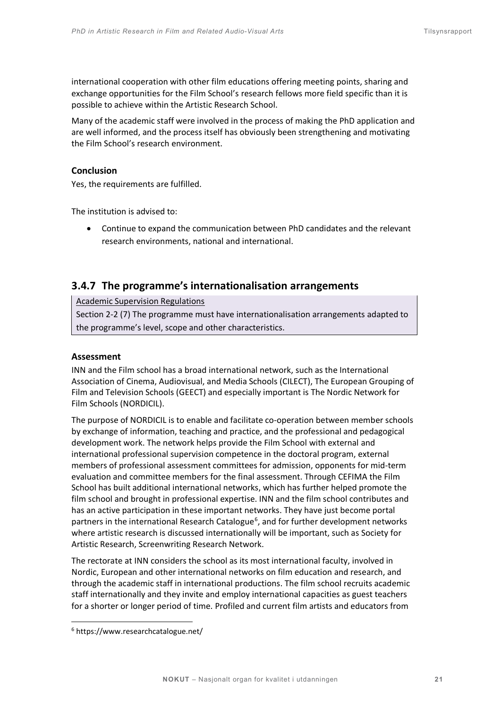international cooperation with other film educations offering meeting points, sharing and exchange opportunities for the Film School's research fellows more field specific than it is possible to achieve within the Artistic Research School.

Many of the academic staff were involved in the process of making the PhD application and are well informed, and the process itself has obviously been strengthening and motivating the Film School's research environment.

# **Conclusion**

Yes, the requirements are fulfilled.

The institution is advised to:

• Continue to expand the communication between PhD candidates and the relevant research environments, national and international.

# **3.4.7 The programme's internationalisation arrangements**

Academic Supervision Regulations

Section 2-2 (7) The programme must have internationalisation arrangements adapted to the programme's level, scope and other characteristics.

# **Assessment**

INN and the Film school has a broad international network, such as the International Association of Cinema, Audiovisual, and Media Schools (CILECT), The European Grouping of Film and Television Schools (GEECT) and especially important is The Nordic Network for Film Schools (NORDICIL).

The purpose of NORDICIL is to enable and facilitate co-operation between member schools by exchange of information, teaching and practice, and the professional and pedagogical development work. The network helps provide the Film School with external and international professional supervision competence in the doctoral program, external members of professional assessment committees for admission, opponents for mid-term evaluation and committee members for the final assessment. Through CEFIMA the Film School has built additional international networks, which has further helped promote the film school and brought in professional expertise. INN and the film school contributes and has an active participation in these important networks. They have just become portal partners in the international Research Catalogue<sup>[6](#page-20-0)</sup>, and for further development networks where artistic research is discussed internationally will be important, such as Society for Artistic Research, Screenwriting Research Network.

The rectorate at INN considers the school as its most international faculty, involved in Nordic, European and other international networks on film education and research, and through the academic staff in international productions. The film school recruits academic staff internationally and they invite and employ international capacities as guest teachers for a shorter or longer period of time. Profiled and current film artists and educators from

<span id="page-20-0"></span><sup>6</sup> https://www.researchcatalogue.net/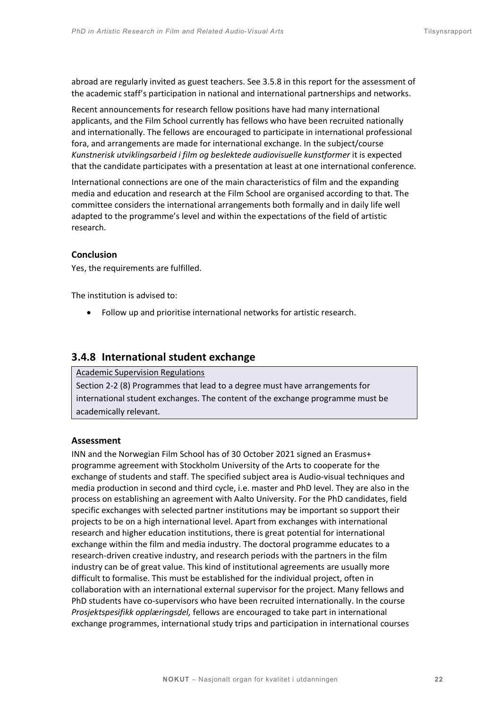abroad are regularly invited as guest teachers. See 3.5.8 in this report for the assessment of the academic staff's participation in national and international partnerships and networks.

Recent announcements for research fellow positions have had many international applicants, and the Film School currently has fellows who have been recruited nationally and internationally. The fellows are encouraged to participate in international professional fora, and arrangements are made for international exchange. In the subject/course *Kunstnerisk utviklingsarbeid i film og beslektede audiovisuelle kunstformer* it is expected that the candidate participates with a presentation at least at one international conference.

International connections are one of the main characteristics of film and the expanding media and education and research at the Film School are organised according to that. The committee considers the international arrangements both formally and in daily life well adapted to the programme's level and within the expectations of the field of artistic research.

#### **Conclusion**

Yes, the requirements are fulfilled.

The institution is advised to:

• Follow up and prioritise international networks for artistic research.

# **3.4.8 International student exchange**

Academic Supervision Regulations

Section 2-2 (8) Programmes that lead to a degree must have arrangements for international student exchanges. The content of the exchange programme must be academically relevant.

#### **Assessment**

INN and the Norwegian Film School has of 30 October 2021 signed an Erasmus+ programme agreement with Stockholm University of the Arts to cooperate for the exchange of students and staff. The specified subject area is Audio-visual techniques and media production in second and third cycle, i.e. master and PhD level. They are also in the process on establishing an agreement with Aalto University. For the PhD candidates, field specific exchanges with selected partner institutions may be important so support their projects to be on a high international level. Apart from exchanges with international research and higher education institutions, there is great potential for international exchange within the film and media industry. The doctoral programme educates to a research-driven creative industry, and research periods with the partners in the film industry can be of great value. This kind of institutional agreements are usually more difficult to formalise. This must be established for the individual project, often in collaboration with an international external supervisor for the project. Many fellows and PhD students have co-supervisors who have been recruited internationally. In the course *Prosjektspesifikk opplæringsdel,* fellows are encouraged to take part in international exchange programmes, international study trips and participation in international courses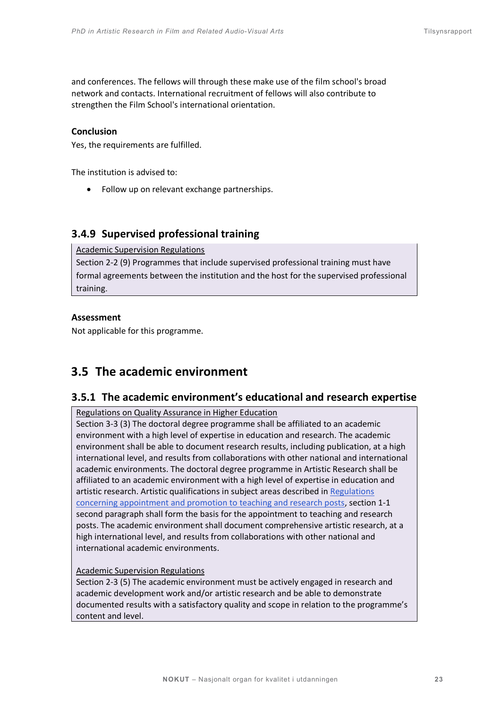and conferences. The fellows will through these make use of the film school's broad network and contacts. International recruitment of fellows will also contribute to strengthen the Film School's international orientation.

# **Conclusion**

Yes, the requirements are fulfilled.

The institution is advised to:

• Follow up on relevant exchange partnerships.

# **3.4.9 Supervised professional training**

Academic Supervision Regulations

Section 2-2 (9) Programmes that include supervised professional training must have formal agreements between the institution and the host for the supervised professional training.

# **Assessment**

Not applicable for this programme.

# <span id="page-22-0"></span>**3.5 The academic environment**

# **3.5.1 The academic environment's educational and research expertise**

Regulations on Quality Assurance in Higher Education

Section 3-3 (3) The doctoral degree programme shall be affiliated to an academic environment with a high level of expertise in education and research. The academic environment shall be able to document research results, including publication, at a high international level, and results from collaborations with other national and international academic environments. The doctoral degree programme in Artistic Research shall be affiliated to an academic environment with a high level of expertise in education and artistic research. Artistic qualifications in subject areas described in Regulations [concerning appointment and promotion to teaching and research posts,](https://lovdata.no/dokument/SF/forskrift/2006-02-09-129) section 1-1 second paragraph shall form the basis for the appointment to teaching and research posts. The academic environment shall document comprehensive artistic research, at a high international level, and results from collaborations with other national and international academic environments.

# Academic Supervision Regulations

Section 2-3 (5) The academic environment must be actively engaged in research and academic development work and/or artistic research and be able to demonstrate documented results with a satisfactory quality and scope in relation to the programme's content and level.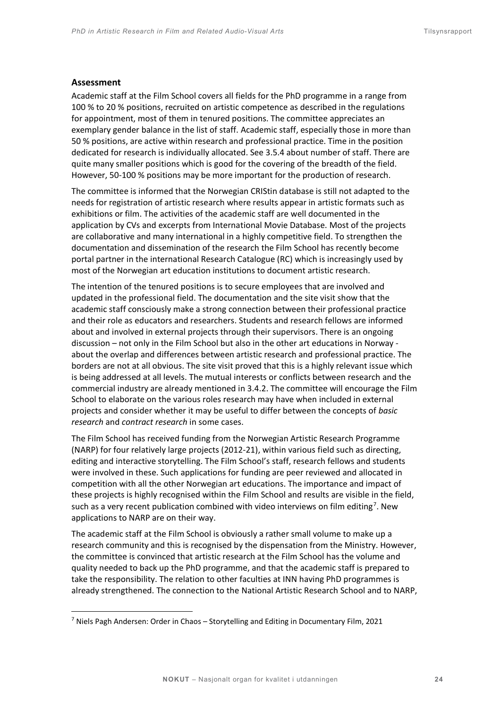#### **Assessment**

Academic staff at the Film School covers all fields for the PhD programme in a range from 100 % to 20 % positions, recruited on artistic competence as described in the regulations for appointment, most of them in tenured positions. The committee appreciates an exemplary gender balance in the list of staff. Academic staff, especially those in more than 50 % positions, are active within research and professional practice. Time in the position dedicated for research is individually allocated. See 3.5.4 about number of staff. There are quite many smaller positions which is good for the covering of the breadth of the field. However, 50-100 % positions may be more important for the production of research.

The committee is informed that the Norwegian CRIStin database is still not adapted to the needs for registration of artistic research where results appear in artistic formats such as exhibitions or film. The activities of the academic staff are well documented in the application by CVs and excerpts from International Movie Database. Most of the projects are collaborative and many international in a highly competitive field. To strengthen the documentation and dissemination of the research the Film School has recently become portal partner in the international Research Catalogue (RC) which is increasingly used by most of the Norwegian art education institutions to document artistic research.

The intention of the tenured positions is to secure employees that are involved and updated in the professional field. The documentation and the site visit show that the academic staff consciously make a strong connection between their professional practice and their role as educators and researchers. Students and research fellows are informed about and involved in external projects through their supervisors. There is an ongoing discussion – not only in the Film School but also in the other art educations in Norway about the overlap and differences between artistic research and professional practice. The borders are not at all obvious. The site visit proved that this is a highly relevant issue which is being addressed at all levels. The mutual interests or conflicts between research and the commercial industry are already mentioned in 3.4.2. The committee will encourage the Film School to elaborate on the various roles research may have when included in external projects and consider whether it may be useful to differ between the concepts of *basic research* and *contract research* in some cases.

The Film School has received funding from the Norwegian Artistic Research Programme (NARP) for four relatively large projects (2012-21), within various field such as directing, editing and interactive storytelling. The Film School's staff, research fellows and students were involved in these. Such applications for funding are peer reviewed and allocated in competition with all the other Norwegian art educations. The importance and impact of these projects is highly recognised within the Film School and results are visible in the field, such as a very recent publication combined with video interviews on film editing<sup>[7](#page-23-0)</sup>. New applications to NARP are on their way.

The academic staff at the Film School is obviously a rather small volume to make up a research community and this is recognised by the dispensation from the Ministry. However, the committee is convinced that artistic research at the Film School has the volume and quality needed to back up the PhD programme, and that the academic staff is prepared to take the responsibility. The relation to other faculties at INN having PhD programmes is already strengthened. The connection to the National Artistic Research School and to NARP,

<span id="page-23-0"></span> $<sup>7</sup>$  Niels Pagh Andersen: Order in Chaos – Storytelling and Editing in Documentary Film, 2021</sup>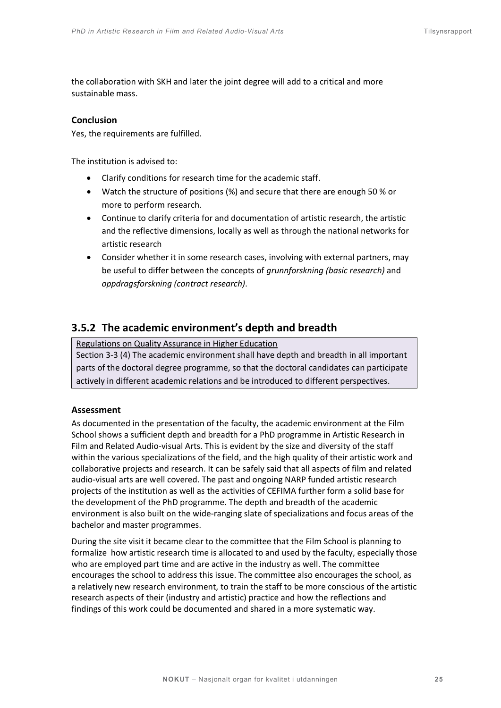the collaboration with SKH and later the joint degree will add to a critical and more sustainable mass.

# **Conclusion**

Yes, the requirements are fulfilled.

The institution is advised to:

- Clarify conditions for research time for the academic staff.
- Watch the structure of positions (%) and secure that there are enough 50 % or more to perform research.
- Continue to clarify criteria for and documentation of artistic research, the artistic and the reflective dimensions, locally as well as through the national networks for artistic research
- Consider whether it in some research cases, involving with external partners, may be useful to differ between the concepts of *grunnforskning (basic research)* and *oppdragsforskning (contract research)*.

# **3.5.2 The academic environment's depth and breadth**

Regulations on Quality Assurance in Higher Education

Section 3-3 (4) The academic environment shall have depth and breadth in all important parts of the doctoral degree programme, so that the doctoral candidates can participate actively in different academic relations and be introduced to different perspectives.

# **Assessment**

As documented in the presentation of the faculty, the academic environment at the Film School shows a sufficient depth and breadth for a PhD programme in Artistic Research in Film and Related Audio-visual Arts. This is evident by the size and diversity of the staff within the various specializations of the field, and the high quality of their artistic work and collaborative projects and research. It can be safely said that all aspects of film and related audio-visual arts are well covered. The past and ongoing NARP funded artistic research projects of the institution as well as the activities of CEFIMA further form a solid base for the development of the PhD programme. The depth and breadth of the academic environment is also built on the wide-ranging slate of specializations and focus areas of the bachelor and master programmes.

During the site visit it became clear to the committee that the Film School is planning to formalize how artistic research time is allocated to and used by the faculty, especially those who are employed part time and are active in the industry as well. The committee encourages the school to address this issue. The committee also encourages the school, as a relatively new research environment, to train the staff to be more conscious of the artistic research aspects of their (industry and artistic) practice and how the reflections and findings of this work could be documented and shared in a more systematic way.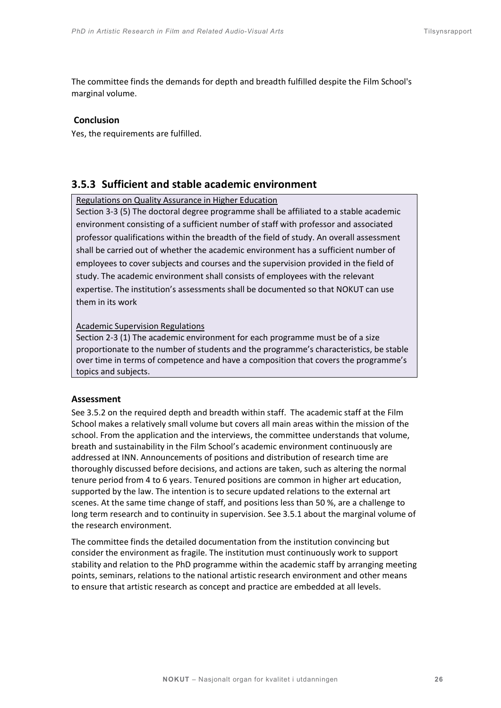The committee finds the demands for depth and breadth fulfilled despite the Film School's marginal volume.

#### **Conclusion**

Yes, the requirements are fulfilled.

# **3.5.3 Sufficient and stable academic environment**

#### Regulations on Quality Assurance in Higher Education

Section 3-3 (5) The doctoral degree programme shall be affiliated to a stable academic environment consisting of a sufficient number of staff with professor and associated professor qualifications within the breadth of the field of study. An overall assessment shall be carried out of whether the academic environment has a sufficient number of employees to cover subjects and courses and the supervision provided in the field of study. The academic environment shall consists of employees with the relevant expertise. The institution's assessments shall be documented so that NOKUT can use them in its work

#### Academic Supervision Regulations

Section 2-3 (1) The academic environment for each programme must be of a size proportionate to the number of students and the programme's characteristics, be stable over time in terms of competence and have a composition that covers the programme's topics and subjects.

#### **Assessment**

See 3.5.2 on the required depth and breadth within staff. The academic staff at the Film School makes a relatively small volume but covers all main areas within the mission of the school. From the application and the interviews, the committee understands that volume, breath and sustainability in the Film School's academic environment continuously are addressed at INN. Announcements of positions and distribution of research time are thoroughly discussed before decisions, and actions are taken, such as altering the normal tenure period from 4 to 6 years. Tenured positions are common in higher art education, supported by the law. The intention is to secure updated relations to the external art scenes. At the same time change of staff, and positions less than 50 %, are a challenge to long term research and to continuity in supervision. See 3.5.1 about the marginal volume of the research environment.

The committee finds the detailed documentation from the institution convincing but consider the environment as fragile. The institution must continuously work to support stability and relation to the PhD programme within the academic staff by arranging meeting points, seminars, relations to the national artistic research environment and other means to ensure that artistic research as concept and practice are embedded at all levels.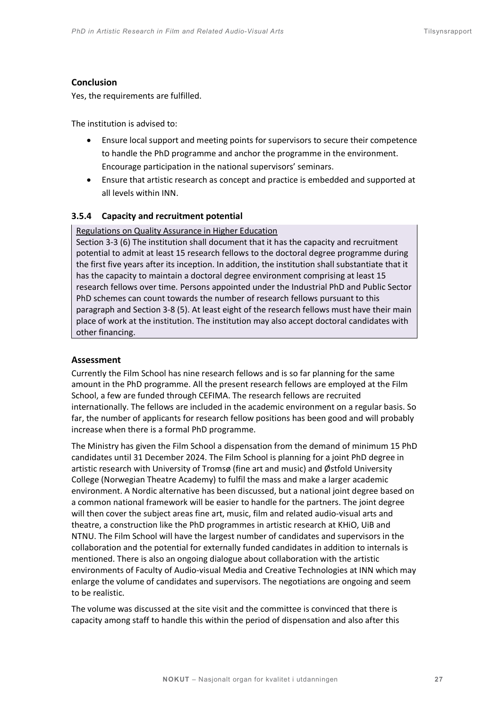# **Conclusion**

Yes, the requirements are fulfilled.

The institution is advised to:

- Ensure local support and meeting points for supervisors to secure their competence to handle the PhD programme and anchor the programme in the environment. Encourage participation in the national supervisors' seminars.
- Ensure that artistic research as concept and practice is embedded and supported at all levels within INN.

# **3.5.4 Capacity and recruitment potential**

#### Regulations on Quality Assurance in Higher Education

Section 3-3 (6) The institution shall document that it has the capacity and recruitment potential to admit at least 15 research fellows to the doctoral degree programme during the first five years after its inception. In addition, the institution shall substantiate that it has the capacity to maintain a doctoral degree environment comprising at least 15 research fellows over time. Persons appointed under the Industrial PhD and Public Sector PhD schemes can count towards the number of research fellows pursuant to this paragraph and Section 3-8 (5). At least eight of the research fellows must have their main place of work at the institution. The institution may also accept doctoral candidates with other financing.

# **Assessment**

Currently the Film School has nine research fellows and is so far planning for the same amount in the PhD programme. All the present research fellows are employed at the Film School, a few are funded through CEFIMA. The research fellows are recruited internationally. The fellows are included in the academic environment on a regular basis. So far, the number of applicants for research fellow positions has been good and will probably increase when there is a formal PhD programme.

The Ministry has given the Film School a dispensation from the demand of minimum 15 PhD candidates until 31 December 2024. The Film School is planning for a joint PhD degree in artistic research with University of Tromsø (fine art and music) and Østfold University College (Norwegian Theatre Academy) to fulfil the mass and make a larger academic environment. A Nordic alternative has been discussed, but a national joint degree based on a common national framework will be easier to handle for the partners. The joint degree will then cover the subject areas fine art, music, film and related audio-visual arts and theatre, a construction like the PhD programmes in artistic research at KHiO, UiB and NTNU. The Film School will have the largest number of candidates and supervisors in the collaboration and the potential for externally funded candidates in addition to internals is mentioned. There is also an ongoing dialogue about collaboration with the artistic environments of Faculty of Audio-visual Media and Creative Technologies at INN which may enlarge the volume of candidates and supervisors. The negotiations are ongoing and seem to be realistic.

The volume was discussed at the site visit and the committee is convinced that there is capacity among staff to handle this within the period of dispensation and also after this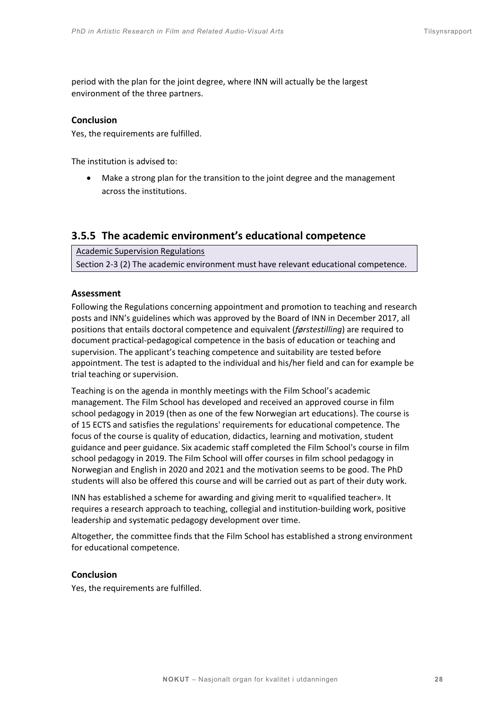period with the plan for the joint degree, where INN will actually be the largest environment of the three partners.

#### **Conclusion**

Yes, the requirements are fulfilled.

The institution is advised to:

• Make a strong plan for the transition to the joint degree and the management across the institutions.

# **3.5.5 The academic environment's educational competence**

Academic Supervision Regulations Section 2-3 (2) The academic environment must have relevant educational competence.

#### **Assessment**

Following the Regulations concerning appointment and promotion to teaching and research posts and INN's guidelines which was approved by the Board of INN in December 2017, all positions that entails doctoral competence and equivalent (*førstestilling*) are required to document practical-pedagogical competence in the basis of education or teaching and supervision. The applicant's teaching competence and suitability are tested before appointment. The test is adapted to the individual and his/her field and can for example be trial teaching or supervision.

Teaching is on the agenda in monthly meetings with the Film School's academic management. The Film School has developed and received an approved course in film school pedagogy in 2019 (then as one of the few Norwegian art educations). The course is of 15 ECTS and satisfies the regulations' requirements for educational competence. The focus of the course is quality of education, didactics, learning and motivation, student guidance and peer guidance. Six academic staff completed the Film School's course in film school pedagogy in 2019. The Film School will offer courses in film school pedagogy in Norwegian and English in 2020 and 2021 and the motivation seems to be good. The PhD students will also be offered this course and will be carried out as part of their duty work.

INN has established a scheme for awarding and giving merit to «qualified teacher». It requires a research approach to teaching, collegial and institution-building work, positive leadership and systematic pedagogy development over time.

Altogether, the committee finds that the Film School has established a strong environment for educational competence.

# **Conclusion**

Yes, the requirements are fulfilled.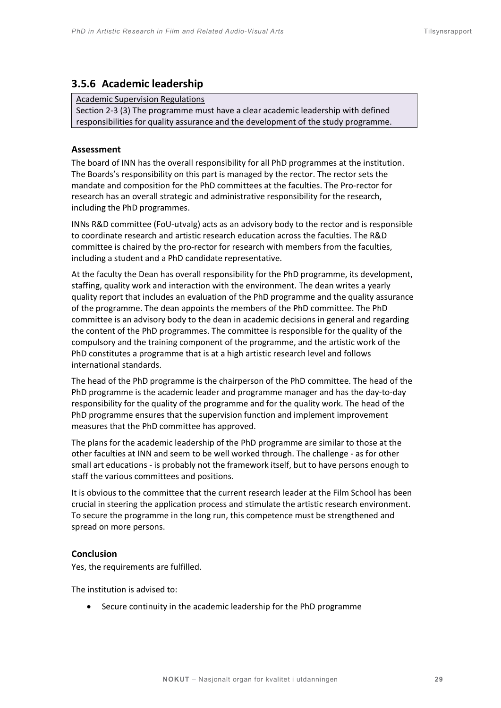# **3.5.6 Academic leadership**

#### Academic Supervision Regulations

Section 2-3 (3) The programme must have a clear academic leadership with defined responsibilities for quality assurance and the development of the study programme.

#### **Assessment**

The board of INN has the overall responsibility for all PhD programmes at the institution. The Boards's responsibility on this part is managed by the rector. The rector sets the mandate and composition for the PhD committees at the faculties. The Pro-rector for research has an overall strategic and administrative responsibility for the research, including the PhD programmes.

INNs R&D committee (FoU-utvalg) acts as an advisory body to the rector and is responsible to coordinate research and artistic research education across the faculties. The R&D committee is chaired by the pro-rector for research with members from the faculties, including a student and a PhD candidate representative.

At the faculty the Dean has overall responsibility for the PhD programme, its development, staffing, quality work and interaction with the environment. The dean writes a yearly quality report that includes an evaluation of the PhD programme and the quality assurance of the programme. The dean appoints the members of the PhD committee. The PhD committee is an advisory body to the dean in academic decisions in general and regarding the content of the PhD programmes. The committee is responsible for the quality of the compulsory and the training component of the programme, and the artistic work of the PhD constitutes a programme that is at a high artistic research level and follows international standards.

The head of the PhD programme is the chairperson of the PhD committee. The head of the PhD programme is the academic leader and programme manager and has the day-to-day responsibility for the quality of the programme and for the quality work. The head of the PhD programme ensures that the supervision function and implement improvement measures that the PhD committee has approved.

The plans for the academic leadership of the PhD programme are similar to those at the other faculties at INN and seem to be well worked through. The challenge - as for other small art educations - is probably not the framework itself, but to have persons enough to staff the various committees and positions.

It is obvious to the committee that the current research leader at the Film School has been crucial in steering the application process and stimulate the artistic research environment. To secure the programme in the long run, this competence must be strengthened and spread on more persons.

#### **Conclusion**

Yes, the requirements are fulfilled.

The institution is advised to:

• Secure continuity in the academic leadership for the PhD programme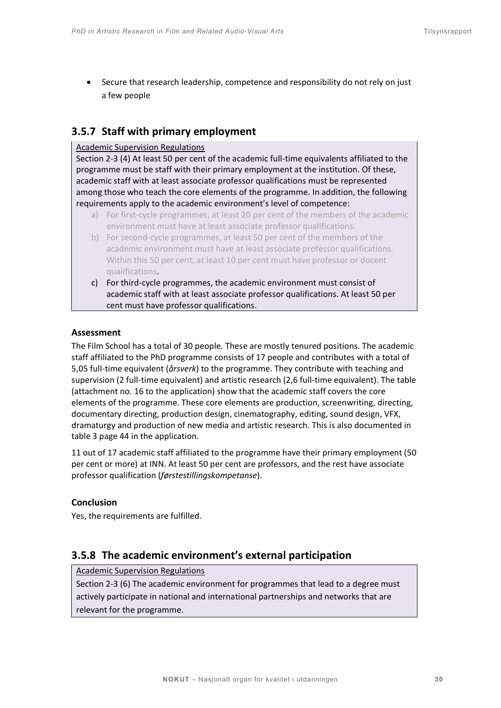• Secure that research leadership, competence and responsibility do not rely on just a few people

# **3.5.7 Staff with primary employment**

# Academic Supervision Regulations

Section 2-3 (4) At least 50 per cent of the academic full-time equivalents affiliated to the programme must be staff with their primary employment at the institution. Of these, academic staff with at least associate professor qualifications must be represented among those who teach the core elements of the programme. In addition, the following requirements apply to the academic environment's level of competence:

- a) For first-cycle programmes, at least 20 per cent of the members of the academic environment must have at least associate professor qualifications.
- b) For second-cycle programmes, at least 50 per cent of the members of the academic environment must have at least associate professor qualifications. Within this 50 per cent, at least 10 per cent must have professor or docent qualifications.
- c) For third-cycle programmes, the academic environment must consist of academic staff with at least associate professor qualifications. At least 50 per cent must have professor qualifications.

# **Assessment**

The Film School has a total of 30 people. These are mostly tenured positions. The academic staff affiliated to the PhD programme consists of 17 people and contributes with a total of 5,05 full-time equivalent (*årsverk*) to the programme. They contribute with teaching and supervision (2 full-time equivalent) and artistic research (2,6 full-time equivalent). The table (attachment no. 16 to the application) show that the academic staff covers the core elements of the programme. These core elements are production, screenwriting, directing, documentary directing, production design, cinematography, editing, sound design, VFX, dramaturgy and production of new media and artistic research. This is also documented in table 3 page 44 in the application.

11 out of 17 academic staff affiliated to the programme have their primary employment (50 per cent or more) at INN. At least 50 per cent are professors, and the rest have associate professor qualification (*førstestillingskompetanse*).

# **Conclusion**

Yes, the requirements are fulfilled.

# **3.5.8 The academic environment's external participation**

Academic Supervision Regulations

Section 2-3 (6) The academic environment for programmes that lead to a degree must actively participate in national and international partnerships and networks that are relevant for the programme.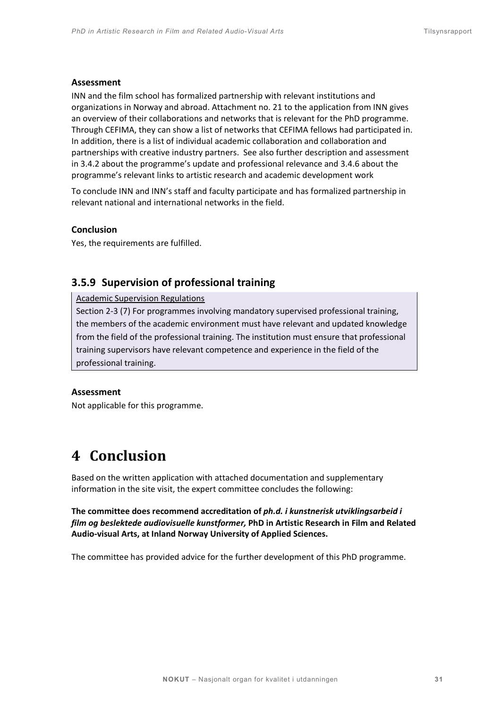#### **Assessment**

INN and the film school has formalized partnership with relevant institutions and organizations in Norway and abroad. Attachment no. 21 to the application from INN gives an overview of their collaborations and networks that is relevant for the PhD programme. Through CEFIMA, they can show a list of networks that CEFIMA fellows had participated in. In addition, there is a list of individual academic collaboration and collaboration and partnerships with creative industry partners. See also further description and assessment in 3.4.2 about the programme's update and professional relevance and 3.4.6 about the programme's relevant links to artistic research and academic development work

To conclude INN and INN's staff and faculty participate and has formalized partnership in relevant national and international networks in the field.

#### **Conclusion**

Yes, the requirements are fulfilled.

# **3.5.9 Supervision of professional training**

#### Academic Supervision Regulations

Section 2-3 (7) For programmes involving mandatory supervised professional training, the members of the academic environment must have relevant and updated knowledge from the field of the professional training. The institution must ensure that professional training supervisors have relevant competence and experience in the field of the professional training.

#### **Assessment**

<span id="page-30-0"></span>Not applicable for this programme.

# **4 Conclusion**

Based on the written application with attached documentation and supplementary information in the site visit, the expert committee concludes the following:

**The committee does recommend accreditation of** *ph.d. i kunstnerisk utviklingsarbeid i film og beslektede audiovisuelle kunstformer,* **PhD in Artistic Research in Film and Related Audio-visual Arts, at Inland Norway University of Applied Sciences.** 

The committee has provided advice for the further development of this PhD programme.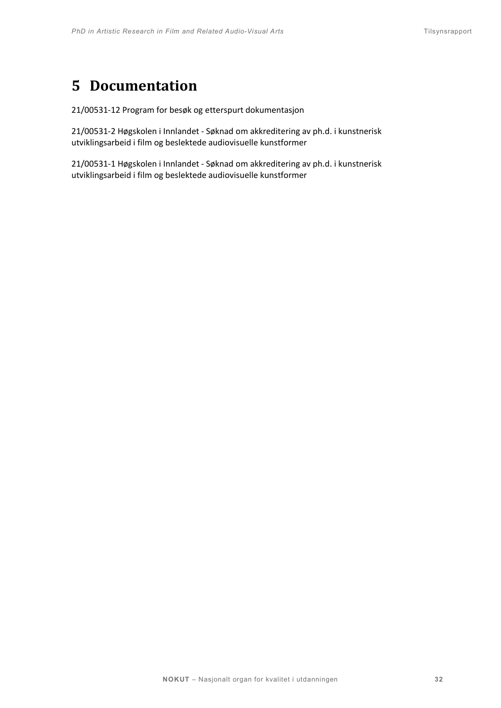# <span id="page-31-0"></span>**5 Documentation**

21/00531-12 Program for besøk og etterspurt dokumentasjon

21/00531-2 Høgskolen i Innlandet - Søknad om akkreditering av ph.d. i kunstnerisk utviklingsarbeid i film og beslektede audiovisuelle kunstformer

21/00531-1 Høgskolen i Innlandet - Søknad om akkreditering av ph.d. i kunstnerisk utviklingsarbeid i film og beslektede audiovisuelle kunstformer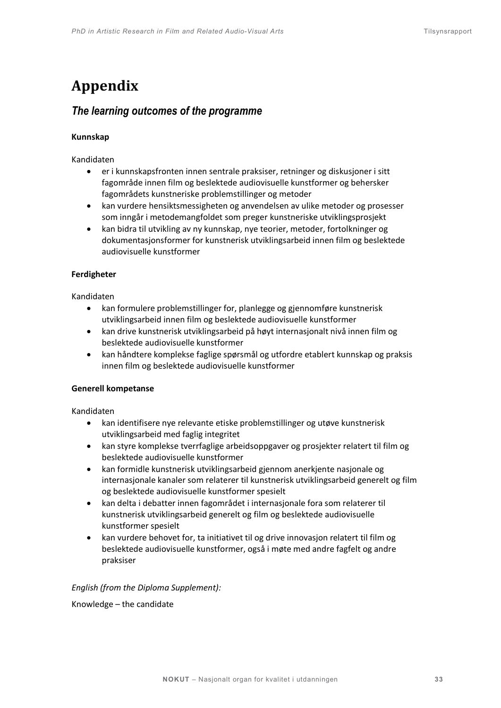# <span id="page-32-0"></span>**Appendix**

# <span id="page-32-1"></span>*The learning outcomes of the programme*

# **Kunnskap**

Kandidaten

- er i kunnskapsfronten innen sentrale praksiser, retninger og diskusjoner i sitt fagområde innen film og beslektede audiovisuelle kunstformer og behersker fagområdets kunstneriske problemstillinger og metoder
- kan vurdere hensiktsmessigheten og anvendelsen av ulike metoder og prosesser som inngår i metodemangfoldet som preger kunstneriske utviklingsprosjekt
- kan bidra til utvikling av ny kunnskap, nye teorier, metoder, fortolkninger og dokumentasjonsformer for kunstnerisk utviklingsarbeid innen film og beslektede audiovisuelle kunstformer

# **Ferdigheter**

Kandidaten

- kan formulere problemstillinger for, planlegge og gjennomføre kunstnerisk utviklingsarbeid innen film og beslektede audiovisuelle kunstformer
- kan drive kunstnerisk utviklingsarbeid på høyt internasjonalt nivå innen film og beslektede audiovisuelle kunstformer
- kan håndtere komplekse faglige spørsmål og utfordre etablert kunnskap og praksis innen film og beslektede audiovisuelle kunstformer

# **Generell kompetanse**

Kandidaten

- kan identifisere nye relevante etiske problemstillinger og utøve kunstnerisk utviklingsarbeid med faglig integritet
- kan styre komplekse tverrfaglige arbeidsoppgaver og prosjekter relatert til film og beslektede audiovisuelle kunstformer
- kan formidle kunstnerisk utviklingsarbeid gjennom anerkjente nasjonale og internasjonale kanaler som relaterer til kunstnerisk utviklingsarbeid generelt og film og beslektede audiovisuelle kunstformer spesielt
- kan delta i debatter innen fagområdet i internasjonale fora som relaterer til kunstnerisk utviklingsarbeid generelt og film og beslektede audiovisuelle kunstformer spesielt
- kan vurdere behovet for, ta initiativet til og drive innovasjon relatert til film og beslektede audiovisuelle kunstformer, også i møte med andre fagfelt og andre praksiser

*English (from the Diploma Supplement):* 

Knowledge – the candidate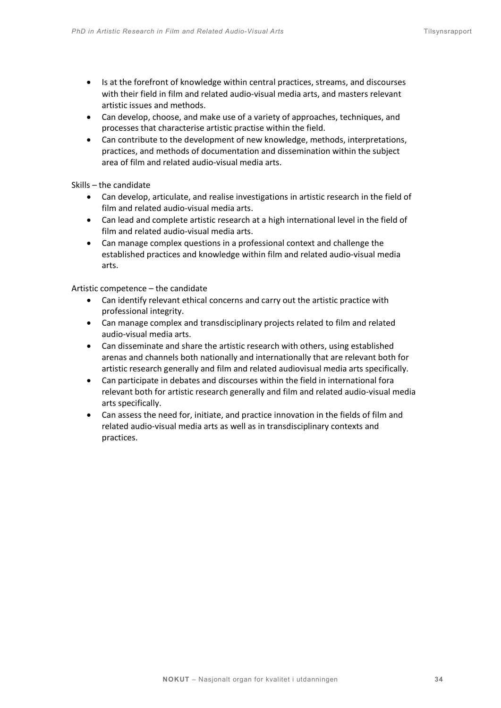- Is at the forefront of knowledge within central practices, streams, and discourses with their field in film and related audio-visual media arts, and masters relevant artistic issues and methods.
- Can develop, choose, and make use of a variety of approaches, techniques, and processes that characterise artistic practise within the field.
- Can contribute to the development of new knowledge, methods, interpretations, practices, and methods of documentation and dissemination within the subject area of film and related audio-visual media arts.

Skills – the candidate

- Can develop, articulate, and realise investigations in artistic research in the field of film and related audio-visual media arts.
- Can lead and complete artistic research at a high international level in the field of film and related audio-visual media arts.
- Can manage complex questions in a professional context and challenge the established practices and knowledge within film and related audio-visual media arts.

Artistic competence – the candidate

- Can identify relevant ethical concerns and carry out the artistic practice with professional integrity.
- Can manage complex and transdisciplinary projects related to film and related audio-visual media arts.
- Can disseminate and share the artistic research with others, using established arenas and channels both nationally and internationally that are relevant both for artistic research generally and film and related audiovisual media arts specifically.
- Can participate in debates and discourses within the field in international fora relevant both for artistic research generally and film and related audio-visual media arts specifically.
- Can assess the need for, initiate, and practice innovation in the fields of film and related audio-visual media arts as well as in transdisciplinary contexts and practices.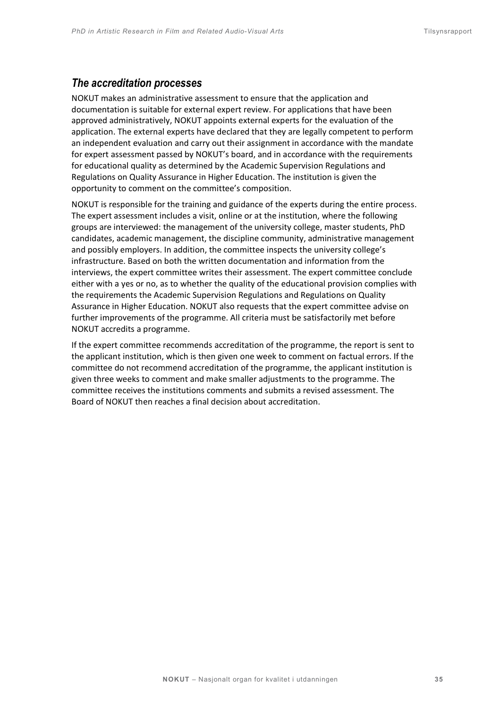# <span id="page-34-0"></span>*The accreditation processes*

NOKUT makes an administrative assessment to ensure that the application and documentation is suitable for external expert review. For applications that have been approved administratively, NOKUT appoints external experts for the evaluation of the application. The external experts have declared that they are legally competent to perform an independent evaluation and carry out their assignment in accordance with the mandate for expert assessment passed by NOKUT's board, and in accordance with the requirements for educational quality as determined by the Academic Supervision Regulations and Regulations on Quality Assurance in Higher Education. The institution is given the opportunity to comment on the committee's composition.

NOKUT is responsible for the training and guidance of the experts during the entire process. The expert assessment includes a visit, online or at the institution, where the following groups are interviewed: the management of the university college, master students, PhD candidates, academic management, the discipline community, administrative management and possibly employers. In addition, the committee inspects the university college's infrastructure. Based on both the written documentation and information from the interviews, the expert committee writes their assessment. The expert committee conclude either with a yes or no, as to whether the quality of the educational provision complies with the requirements the Academic Supervision Regulations and Regulations on Quality Assurance in Higher Education. NOKUT also requests that the expert committee advise on further improvements of the programme. All criteria must be satisfactorily met before NOKUT accredits a programme.

If the expert committee recommends accreditation of the programme, the report is sent to the applicant institution, which is then given one week to comment on factual errors. If the committee do not recommend accreditation of the programme, the applicant institution is given three weeks to comment and make smaller adjustments to the programme. The committee receives the institutions comments and submits a revised assessment. The Board of NOKUT then reaches a final decision about accreditation.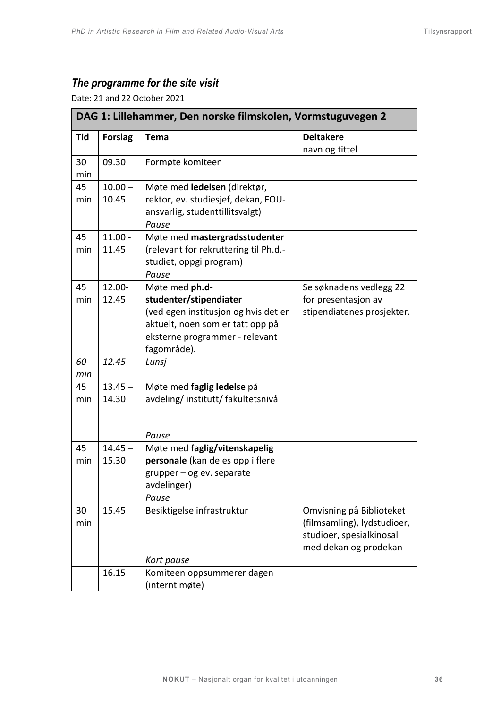# <span id="page-35-0"></span>*The programme for the site visit*

Date: 21 and 22 October 2021

| DAG 1: Lillehammer, Den norske filmskolen, Vormstuguvegen 2 |                |                                       |                             |
|-------------------------------------------------------------|----------------|---------------------------------------|-----------------------------|
| Tid                                                         | <b>Forslag</b> | Tema                                  | <b>Deltakere</b>            |
|                                                             |                |                                       | navn og tittel              |
| 30                                                          | 09.30          | Formøte komiteen                      |                             |
| min                                                         |                |                                       |                             |
| 45                                                          | $10.00 -$      | Møte med ledelsen (direktør,          |                             |
| min                                                         | 10.45          | rektor, ev. studiesjef, dekan, FOU-   |                             |
|                                                             |                | ansvarlig, studenttillitsvalgt)       |                             |
|                                                             |                | Pause                                 |                             |
| 45                                                          | $11.00 -$      | Møte med mastergradsstudenter         |                             |
| min                                                         | 11.45          | (relevant for rekruttering til Ph.d.- |                             |
|                                                             |                | studiet, oppgi program)               |                             |
|                                                             |                | Pause                                 |                             |
| 45                                                          | 12.00-         | Møte med ph.d-                        | Se søknadens vedlegg 22     |
| min                                                         | 12.45          | studenter/stipendiater                | for presentasjon av         |
|                                                             |                | (ved egen institusjon og hvis det er  | stipendiatenes prosjekter.  |
|                                                             |                | aktuelt, noen som er tatt opp på      |                             |
|                                                             |                | eksterne programmer - relevant        |                             |
|                                                             |                | fagområde).                           |                             |
| 60                                                          | 12.45          | Lunsj                                 |                             |
| min                                                         |                |                                       |                             |
| 45                                                          | $13.45 -$      | Møte med faglig ledelse på            |                             |
| min                                                         | 14.30          | avdeling/institutt/fakultetsnivå      |                             |
|                                                             |                |                                       |                             |
|                                                             |                | Pause                                 |                             |
| 45                                                          | $14.45 -$      | Møte med faglig/vitenskapelig         |                             |
| min                                                         | 15.30          | personale (kan deles opp i flere      |                             |
|                                                             |                | $grupper - og ev. separate$           |                             |
|                                                             |                | avdelinger)                           |                             |
|                                                             |                | Pause                                 |                             |
| 30                                                          | 15.45          | Besiktigelse infrastruktur            | Omvisning på Biblioteket    |
| min                                                         |                |                                       | (filmsamling), lydstudioer, |
|                                                             |                |                                       | studioer, spesialkinosal    |
|                                                             |                |                                       | med dekan og prodekan       |
|                                                             |                | Kort pause                            |                             |
|                                                             | 16.15          | Komiteen oppsummerer dagen            |                             |
|                                                             |                | (internt møte)                        |                             |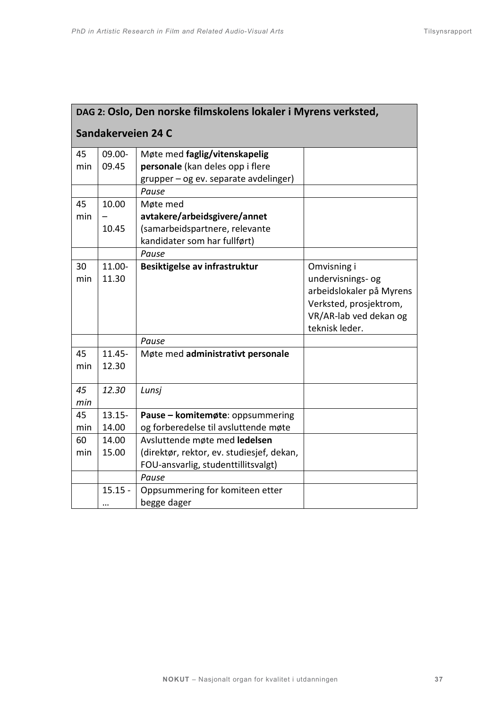| DAG 2: Oslo, Den norske filmskolens lokaler i Myrens verksted, |                    |                                                                                  |                                                                                                                                    |  |
|----------------------------------------------------------------|--------------------|----------------------------------------------------------------------------------|------------------------------------------------------------------------------------------------------------------------------------|--|
| Sandakerveien 24 C                                             |                    |                                                                                  |                                                                                                                                    |  |
| 45<br>min                                                      | 09.00-<br>09.45    | Møte med faglig/vitenskapelig<br>personale (kan deles opp i flere                |                                                                                                                                    |  |
|                                                                |                    | grupper - og ev. separate avdelinger)<br>Pause                                   |                                                                                                                                    |  |
| 45<br>min                                                      | 10.00              | Møte med<br>avtakere/arbeidsgivere/annet                                         |                                                                                                                                    |  |
|                                                                | 10.45              | (samarbeidspartnere, relevante<br>kandidater som har fullført)                   |                                                                                                                                    |  |
|                                                                |                    | Pause                                                                            |                                                                                                                                    |  |
| 30<br>min                                                      | 11.00-<br>11.30    | Besiktigelse av infrastruktur                                                    | Omvisning i<br>undervisnings- og<br>arbeidslokaler på Myrens<br>Verksted, prosjektrom,<br>VR/AR-lab ved dekan og<br>teknisk leder. |  |
|                                                                |                    | Pause                                                                            |                                                                                                                                    |  |
| 45<br>min                                                      | $11.45 -$<br>12.30 | Møte med administrativt personale                                                |                                                                                                                                    |  |
| 45<br>min                                                      | 12.30              | Lunsj                                                                            |                                                                                                                                    |  |
| 45<br>min                                                      | $13.15 -$<br>14.00 | Pause - komitemøte: oppsummering<br>og forberedelse til avsluttende møte         |                                                                                                                                    |  |
| 60                                                             | 14.00              | Avsluttende møte med ledelsen                                                    |                                                                                                                                    |  |
| min                                                            | 15.00              | (direktør, rektor, ev. studiesjef, dekan,<br>FOU-ansvarlig, studenttillitsvalgt) |                                                                                                                                    |  |
|                                                                |                    | Pause                                                                            |                                                                                                                                    |  |
|                                                                | $15.15 -$<br>      | Oppsummering for komiteen etter<br>begge dager                                   |                                                                                                                                    |  |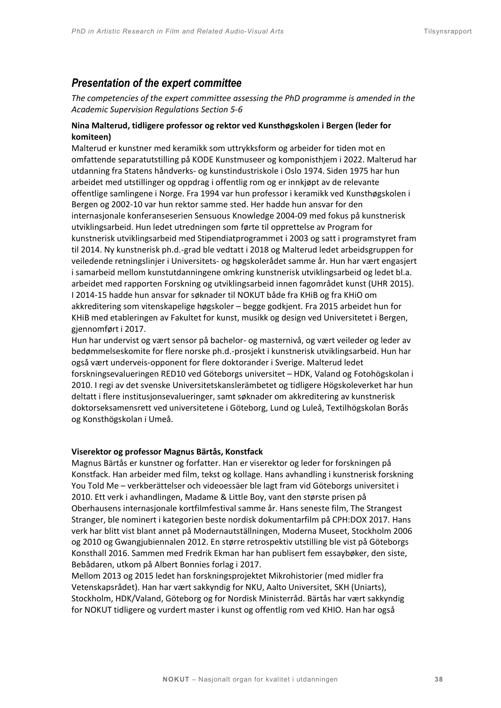# <span id="page-37-0"></span>*Presentation of the expert committee*

*The competencies of the expert committee assessing the PhD programme is amended in the Academic Supervision Regulations Section 5-6* 

# **Nina Malterud, tidligere professor og rektor ved Kunsthøgskolen i Bergen (leder for komiteen)**

Malterud er kunstner med keramikk som uttrykksform og arbeider for tiden mot en omfattende separatutstilling på KODE Kunstmuseer og komponisthjem i 2022. Malterud har utdanning fra Statens håndverks- og kunstindustriskole i Oslo 1974. Siden 1975 har hun arbeidet med utstillinger og oppdrag i offentlig rom og er innkjøpt av de relevante offentlige samlingene i Norge. Fra 1994 var hun professor i keramikk ved Kunsthøgskolen i Bergen og 2002-10 var hun rektor samme sted. Her hadde hun ansvar for den internasjonale konferanseserien Sensuous Knowledge 2004-09 med fokus på kunstnerisk utviklingsarbeid. Hun ledet utredningen som førte til opprettelse av Program for kunstnerisk utviklingsarbeid med Stipendiatprogrammet i 2003 og satt i programstyret fram til 2014. Ny kunstnerisk ph.d.-grad ble vedtatt i 2018 og Malterud ledet arbeidsgruppen for veiledende retningslinjer i Universitets- og høgskolerådet samme år. Hun har vært engasjert i samarbeid mellom kunstutdanningene omkring kunstnerisk utviklingsarbeid og ledet bl.a. arbeidet med rapporten Forskning og utviklingsarbeid innen fagområdet kunst (UHR 2015). I 2014-15 hadde hun ansvar for søknader til NOKUT både fra KHiB og fra KHiO om akkreditering som vitenskapelige høgskoler – begge godkjent. Fra 2015 arbeidet hun for KHiB med etableringen av Fakultet for kunst, musikk og design ved Universitetet i Bergen, gjennomført i 2017.

Hun har undervist og vært sensor på bachelor- og masternivå, og vært veileder og leder av bedømmelseskomite for flere norske ph.d.-prosjekt i kunstnerisk utviklingsarbeid. Hun har også vært underveis-opponent for flere doktorander i Sverige. Malterud ledet forskningsevalueringen RED10 ved Göteborgs universitet – HDK, Valand og Fotohögskolan i 2010. I regi av det svenske Universitetskanslerämbetet og tidligere Högskoleverket har hun deltatt i flere institusjonsevalueringer, samt søknader om akkreditering av kunstnerisk doktorseksamensrett ved universitetene i Göteborg, Lund og Luleå, Textilhögskolan Borås og Konsthögskolan i Umeå.

#### **Viserektor og professor Magnus Bärtås, Konstfack**

Magnus Bärtås er kunstner og forfatter. Han er viserektor og leder for forskningen på Konstfack. Han arbeider med film, tekst og kollage. Hans avhandling i kunstnerisk forskning You Told Me – verkberättelser och videoessäer ble lagt fram vid Göteborgs universitet i 2010. Ett verk i avhandlingen, Madame & Little Boy, vant den største prisen på Oberhausens internasjonale kortfilmfestival samme år. Hans seneste film, The Strangest Stranger, ble nominert i kategorien beste nordisk dokumentarfilm på CPH:DOX 2017. Hans verk har blitt vist blant annet på Modernautställningen, Moderna Museet, Stockholm 2006 og 2010 og Gwangjubiennalen 2012. En større retrospektiv utstilling ble vist på Göteborgs Konsthall 2016. Sammen med Fredrik Ekman har han publisert fem essaybøker, den siste, Bebådaren, utkom på Albert Bonnies forlag i 2017.

Mellom 2013 og 2015 ledet han forskningsprojektet Mikrohistorier (med midler fra Vetenskapsrådet). Han har vært sakkyndig for NKU, Aalto Universitet, SKH (Uniarts), Stockholm, HDK/Valand, Göteborg og for Nordisk Ministerråd. Bärtås har vært sakkyndig for NOKUT tidligere og vurdert master i kunst og offentlig rom ved KHIO. Han har også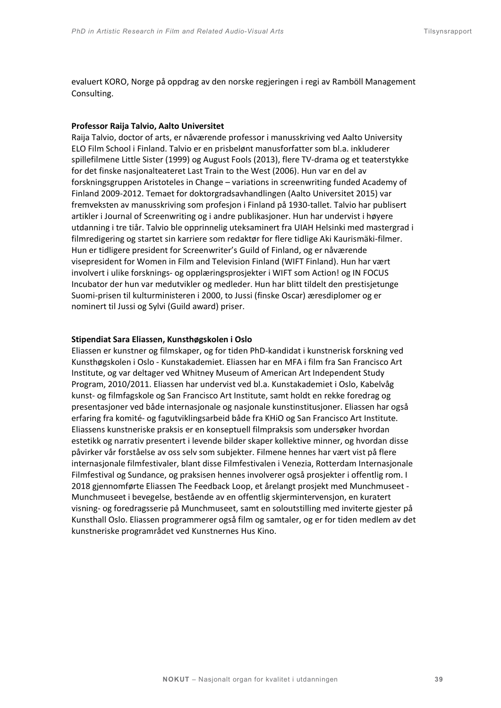evaluert KORO, Norge på oppdrag av den norske regjeringen i regi av Ramböll Management Consulting.

#### **Professor Raija Talvio, Aalto Universitet**

Raija Talvio, doctor of arts, er nåværende professor i manusskriving ved Aalto University ELO Film School i Finland. Talvio er en prisbelønt manusforfatter som bl.a. inkluderer spillefilmene Little Sister (1999) og August Fools (2013), flere TV-drama og et teaterstykke for det finske nasjonalteateret Last Train to the West (2006). Hun var en del av forskningsgruppen Aristoteles in Change – variations in screenwriting funded Academy of Finland 2009-2012. Temaet for doktorgradsavhandlingen (Aalto Universitet 2015) var fremveksten av manusskriving som profesjon i Finland på 1930-tallet. Talvio har publisert artikler i Journal of Screenwriting og i andre publikasjoner. Hun har undervist i høyere utdanning i tre tiår. Talvio ble opprinnelig uteksaminert fra UIAH Helsinki med mastergrad i filmredigering og startet sin karriere som redaktør for flere tidlige Aki Kaurismäki-filmer. Hun er tidligere president for Screenwriter's Guild of Finland, og er nåværende visepresident for Women in Film and Television Finland (WIFT Finland). Hun har vært involvert i ulike forsknings- og opplæringsprosjekter i WIFT som Action! og IN FOCUS Incubator der hun var medutvikler og medleder. Hun har blitt tildelt den prestisjetunge Suomi-prisen til kulturministeren i 2000, to Jussi (finske Oscar) æresdiplomer og er nominert til Jussi og Sylvi (Guild award) priser.

#### **Stipendiat Sara Eliassen, Kunsthøgskolen i Oslo**

Eliassen er kunstner og filmskaper, og for tiden PhD-kandidat i kunstnerisk forskning ved Kunsthøgskolen i Oslo - Kunstakademiet. Eliassen har en MFA i film fra San Francisco Art Institute, og var deltager ved Whitney Museum of American Art Independent Study Program, 2010/2011. Eliassen har undervist ved bl.a. Kunstakademiet i Oslo, Kabelvåg kunst- og filmfagskole og San Francisco Art Institute, samt holdt en rekke foredrag og presentasjoner ved både internasjonale og nasjonale kunstinstitusjoner. Eliassen har også erfaring fra komité- og fagutviklingsarbeid både fra KHiO og San Francisco Art Institute. Eliassens kunstneriske praksis er en konseptuell filmpraksis som undersøker hvordan estetikk og narrativ presentert i levende bilder skaper kollektive minner, og hvordan disse påvirker vår forståelse av oss selv som subjekter. Filmene hennes har vært vist på flere internasjonale filmfestivaler, blant disse Filmfestivalen i Venezia, Rotterdam Internasjonale Filmfestival og Sundance, og praksisen hennes involverer også prosjekter i offentlig rom. I 2018 gjennomførte Eliassen The Feedback Loop, et årelangt prosjekt med Munchmuseet - Munchmuseet i bevegelse, bestående av en offentlig skjermintervensjon, en kuratert visning- og foredragsserie på Munchmuseet, samt en soloutstilling med inviterte gjester på Kunsthall Oslo. Eliassen programmerer også film og samtaler, og er for tiden medlem av det kunstneriske programrådet ved Kunstnernes Hus Kino.